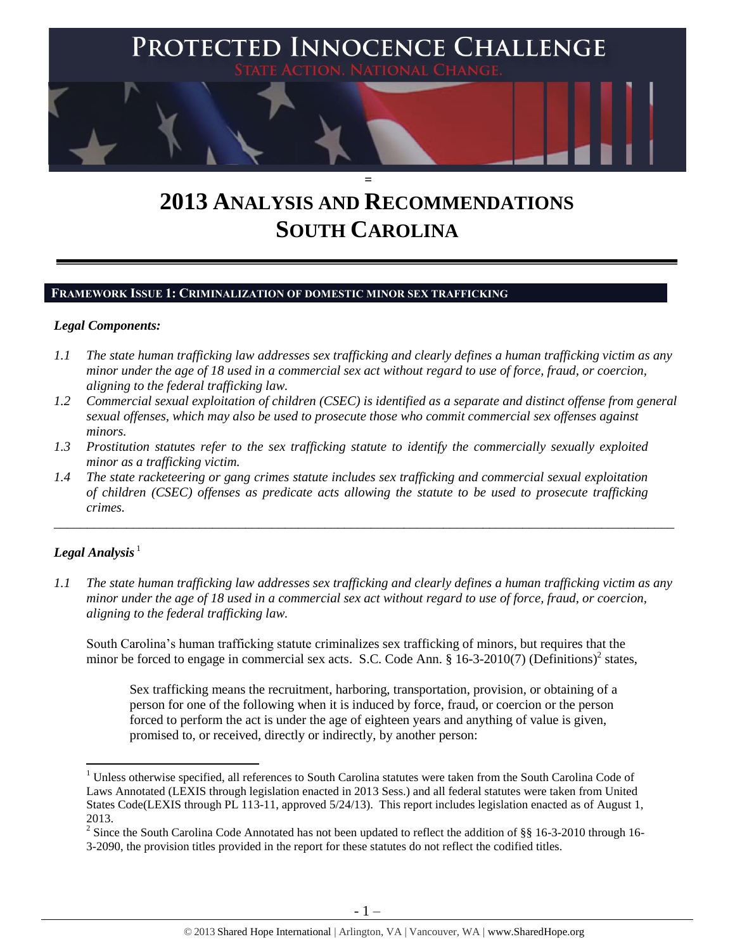

# **2013 ANALYSIS AND RECOMMENDATIONS SOUTH CAROLINA**

#### **FRAMEWORK ISSUE 1: CRIMINALIZATION OF DOMESTIC MINOR SEX TRAFFICKING**

#### *Legal Components:*

- *1.1 The state human trafficking law addresses sex trafficking and clearly defines a human trafficking victim as any minor under the age of 18 used in a commercial sex act without regard to use of force, fraud, or coercion, aligning to the federal trafficking law.*
- *1.2 Commercial sexual exploitation of children (CSEC) is identified as a separate and distinct offense from general sexual offenses, which may also be used to prosecute those who commit commercial sex offenses against minors.*
- *1.3 Prostitution statutes refer to the sex trafficking statute to identify the commercially sexually exploited minor as a trafficking victim.*
- *1.4 The state racketeering or gang crimes statute includes sex trafficking and commercial sexual exploitation of children (CSEC) offenses as predicate acts allowing the statute to be used to prosecute trafficking crimes.*

## $Legal$  *Analysis*<sup>1</sup>

l

*1.1 The state human trafficking law addresses sex trafficking and clearly defines a human trafficking victim as any minor under the age of 18 used in a commercial sex act without regard to use of force, fraud, or coercion, aligning to the federal trafficking law.*

\_\_\_\_\_\_\_\_\_\_\_\_\_\_\_\_\_\_\_\_\_\_\_\_\_\_\_\_\_\_\_\_\_\_\_\_\_\_\_\_\_\_\_\_\_\_\_\_\_\_\_\_\_\_\_\_\_\_\_\_\_\_\_\_\_\_\_\_\_\_\_\_\_\_\_\_\_\_\_\_\_\_\_\_\_\_\_\_\_\_\_\_\_\_

South Carolina's human trafficking statute criminalizes sex trafficking of minors, but requires that the minor be forced to engage in commercial sex acts. S.C. Code Ann. § 16-3-2010(7) (Definitions)<sup>2</sup> states,

Sex trafficking means the recruitment, harboring, transportation, provision, or obtaining of a person for one of the following when it is induced by force, fraud, or coercion or the person forced to perform the act is under the age of eighteen years and anything of value is given, promised to, or received, directly or indirectly, by another person:

<sup>&</sup>lt;sup>1</sup> Unless otherwise specified, all references to South Carolina statutes were taken from the South Carolina Code of Laws Annotated (LEXIS through legislation enacted in 2013 Sess.) and all federal statutes were taken from United States Code(LEXIS through PL 113-11, approved 5/24/13). This report includes legislation enacted as of August 1, 2013.

<sup>&</sup>lt;sup>2</sup> Since the South Carolina Code Annotated has not been updated to reflect the addition of §§ 16-3-2010 through 16-3-2090, the provision titles provided in the report for these statutes do not reflect the codified titles.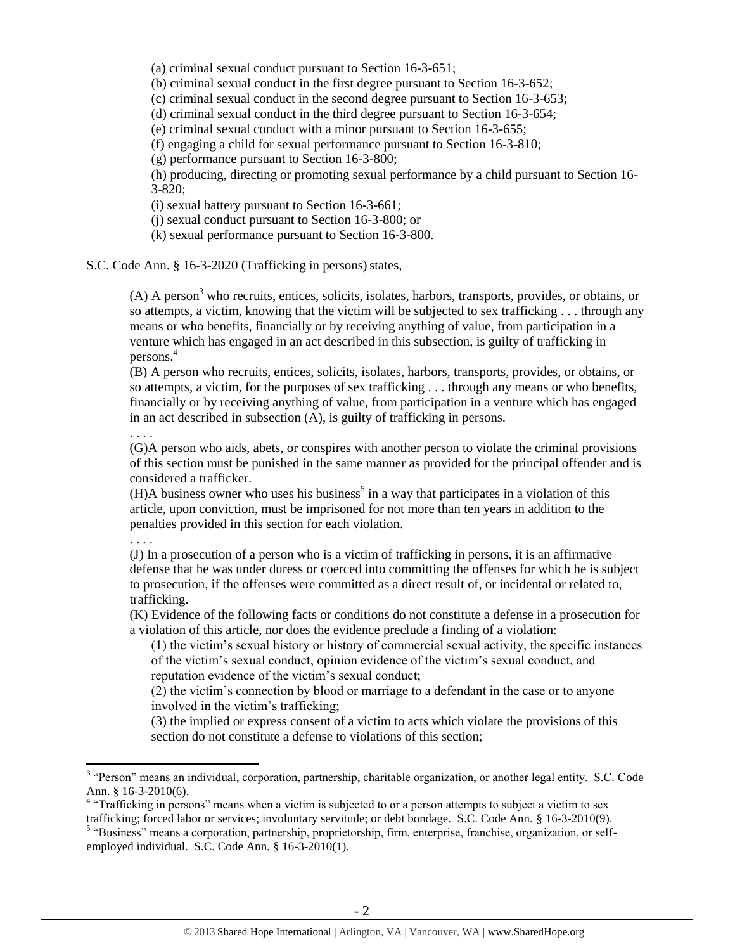(a) criminal sexual conduct pursuant to Section 16-3-651;

(b) criminal sexual conduct in the first degree pursuant to Section 16-3-652;

(c) criminal sexual conduct in the second degree pursuant to Section 16-3-653;

(d) criminal sexual conduct in the third degree pursuant to Section 16-3-654;

(e) criminal sexual conduct with a minor pursuant to Section 16-3-655;

(f) engaging a child for sexual performance pursuant to Section 16-3-810;

(g) performance pursuant to Section 16-3-800;

(h) producing, directing or promoting sexual performance by a child pursuant to Section 16- 3-820;

(i) sexual battery pursuant to Section 16-3-661;

(j) sexual conduct pursuant to Section 16-3-800; or

(k) sexual performance pursuant to Section 16-3-800.

S.C. Code Ann. § 16-3-2020 (Trafficking in persons) states,

 $(A)$  A person<sup>3</sup> who recruits, entices, solicits, isolates, harbors, transports, provides, or obtains, or so attempts, a victim, knowing that the victim will be subjected to sex trafficking . . . through any means or who benefits, financially or by receiving anything of value, from participation in a venture which has engaged in an act described in this subsection, is guilty of trafficking in persons.<sup>4</sup>

(B) A person who recruits, entices, solicits, isolates, harbors, transports, provides, or obtains, or so attempts, a victim, for the purposes of sex trafficking . . . through any means or who benefits, financially or by receiving anything of value, from participation in a venture which has engaged in an act described in subsection (A), is guilty of trafficking in persons.

. . . .

(G)A person who aids, abets, or conspires with another person to violate the criminal provisions of this section must be punished in the same manner as provided for the principal offender and is considered a trafficker.

 $(H)$ A business owner who uses his business<sup>5</sup> in a way that participates in a violation of this article, upon conviction, must be imprisoned for not more than ten years in addition to the penalties provided in this section for each violation.

. . . .

l

(J) In a prosecution of a person who is a victim of trafficking in persons, it is an affirmative defense that he was under duress or coerced into committing the offenses for which he is subject to prosecution, if the offenses were committed as a direct result of, or incidental or related to, trafficking.

(K) Evidence of the following facts or conditions do not constitute a defense in a prosecution for a violation of this article, nor does the evidence preclude a finding of a violation:

(1) the victim's sexual history or history of commercial sexual activity, the specific instances of the victim's sexual conduct, opinion evidence of the victim's sexual conduct, and reputation evidence of the victim's sexual conduct;

(2) the victim's connection by blood or marriage to a defendant in the case or to anyone involved in the victim's trafficking;

(3) the implied or express consent of a victim to acts which violate the provisions of this section do not constitute a defense to violations of this section;

<sup>&</sup>lt;sup>3</sup> "Person" means an individual, corporation, partnership, charitable organization, or another legal entity. S.C. Code Ann. § 16-3-2010(6).

<sup>&</sup>lt;sup>4</sup> "Trafficking in persons" means when a victim is subjected to or a person attempts to subject a victim to sex trafficking; forced labor or services; involuntary servitude; or debt bondage. S.C. Code Ann. § 16-3-2010(9).

<sup>&</sup>lt;sup>5</sup> "Business" means a corporation, partnership, proprietorship, firm, enterprise, franchise, organization, or selfemployed individual. S.C. Code Ann. § 16-3-2010(1).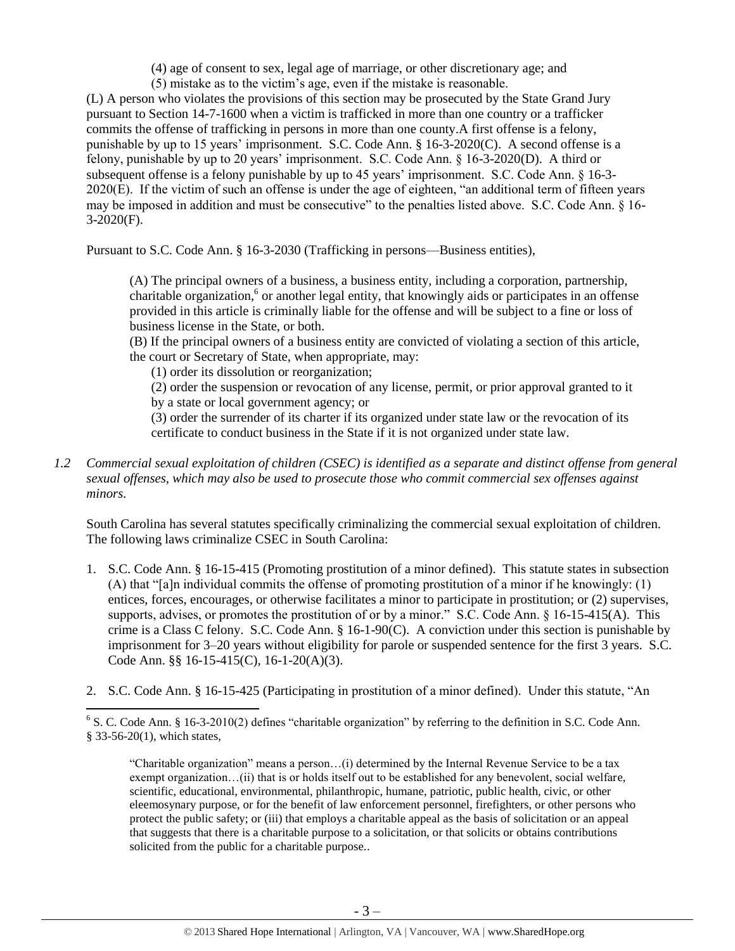(4) age of consent to sex, legal age of marriage, or other discretionary age; and

(5) mistake as to the victim's age, even if the mistake is reasonable.

(L) A person who violates the provisions of this section may be prosecuted by the State Grand Jury pursuant to Section 14-7-1600 when a victim is trafficked in more than one country or a trafficker commits the offense of trafficking in persons in more than one county.A first offense is a felony, punishable by up to 15 years' imprisonment. S.C. Code Ann. § 16-3-2020(C). A second offense is a felony, punishable by up to 20 years' imprisonment. S.C. Code Ann. § 16-3-2020(D). A third or subsequent offense is a felony punishable by up to 45 years' imprisonment. S.C. Code Ann. § 16-3- 2020(E). If the victim of such an offense is under the age of eighteen, "an additional term of fifteen years may be imposed in addition and must be consecutive" to the penalties listed above. S.C. Code Ann. § 16- 3-2020(F).

Pursuant to S.C. Code Ann. § 16-3-2030 (Trafficking in persons—Business entities),

(A) The principal owners of a business, a business entity, including a corporation, partnership, charitable organization,<sup>6</sup> or another legal entity, that knowingly aids or participates in an offense provided in this article is criminally liable for the offense and will be subject to a fine or loss of business license in the State, or both.

(B) If the principal owners of a business entity are convicted of violating a section of this article, the court or Secretary of State, when appropriate, may:

(1) order its dissolution or reorganization;

 $\overline{\phantom{a}}$ 

(2) order the suspension or revocation of any license, permit, or prior approval granted to it by a state or local government agency; or

(3) order the surrender of its charter if its organized under state law or the revocation of its certificate to conduct business in the State if it is not organized under state law.

*1.2 Commercial sexual exploitation of children (CSEC) is identified as a separate and distinct offense from general sexual offenses, which may also be used to prosecute those who commit commercial sex offenses against minors.*

South Carolina has several statutes specifically criminalizing the commercial sexual exploitation of children. The following laws criminalize CSEC in South Carolina:

- 1. S.C. Code Ann. § 16-15-415 (Promoting prostitution of a minor defined). This statute states in subsection (A) that "[a]n individual commits the offense of promoting prostitution of a minor if he knowingly: (1) entices, forces, encourages, or otherwise facilitates a minor to participate in prostitution; or (2) supervises, supports, advises, or promotes the prostitution of or by a minor." S.C. Code Ann. § 16-15-415(A). This crime is a Class C felony. S.C. Code Ann. § 16-1-90(C). A conviction under this section is punishable by imprisonment for 3–20 years without eligibility for parole or suspended sentence for the first 3 years. S.C. Code Ann. §§ 16-15-415(C), 16-1-20(A)(3).
- 2. S.C. Code Ann. § 16-15-425 (Participating in prostitution of a minor defined). Under this statute, "An

"Charitable organization" means a person…(i) determined by the Internal Revenue Service to be a tax exempt organization…(ii) that is or holds itself out to be established for any benevolent, social welfare, scientific, educational, environmental, philanthropic, humane, patriotic, public health, civic, or other eleemosynary purpose, or for the benefit of law enforcement personnel, firefighters, or other persons who protect the public safety; or (iii) that employs a charitable appeal as the basis of solicitation or an appeal that suggests that there is a charitable purpose to a solicitation, or that solicits or obtains contributions solicited from the public for a charitable purpose..

<sup>&</sup>lt;sup>6</sup> S. C. Code Ann. § 16-3-2010(2) defines "charitable organization" by referring to the definition in S.C. Code Ann. § 33-56-20(1), which states,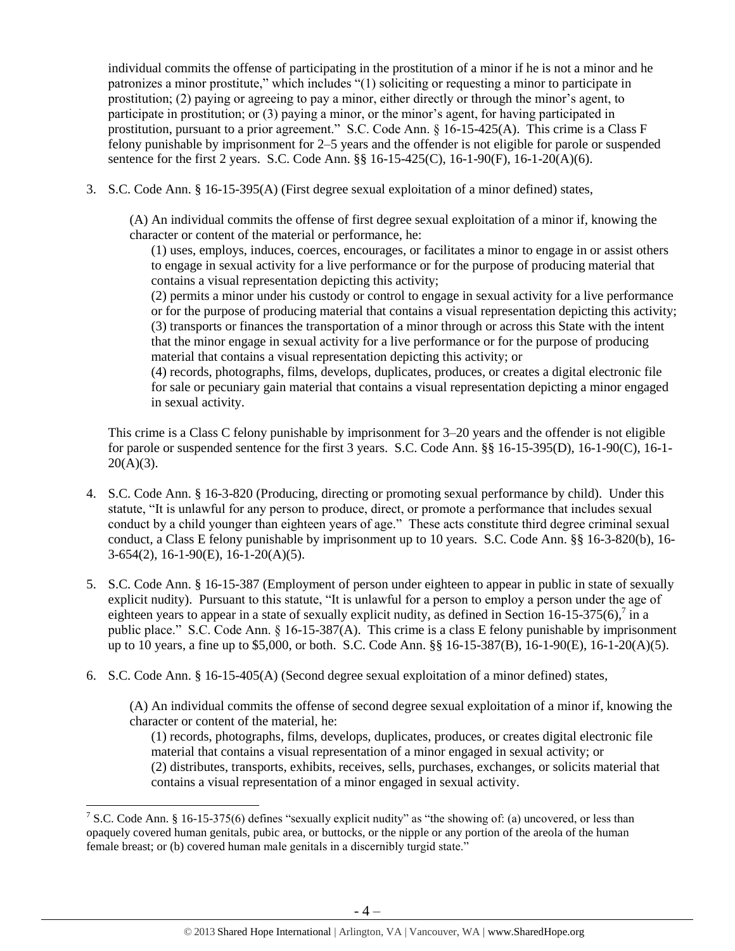individual commits the offense of participating in the prostitution of a minor if he is not a minor and he patronizes a minor prostitute," which includes "(1) soliciting or requesting a minor to participate in prostitution; (2) paying or agreeing to pay a minor, either directly or through the minor's agent, to participate in prostitution; or (3) paying a minor, or the minor's agent, for having participated in prostitution, pursuant to a prior agreement." S.C. Code Ann. § 16-15-425(A). This crime is a Class F felony punishable by imprisonment for 2–5 years and the offender is not eligible for parole or suspended sentence for the first 2 years. S.C. Code Ann. §§ 16-15-425(C), 16-1-90(F), 16-1-20(A)(6).

3. S.C. Code Ann. § 16-15-395(A) (First degree sexual exploitation of a minor defined) states,

(A) An individual commits the offense of first degree sexual exploitation of a minor if, knowing the character or content of the material or performance, he:

(1) uses, employs, induces, coerces, encourages, or facilitates a minor to engage in or assist others to engage in sexual activity for a live performance or for the purpose of producing material that contains a visual representation depicting this activity;

(2) permits a minor under his custody or control to engage in sexual activity for a live performance or for the purpose of producing material that contains a visual representation depicting this activity; (3) transports or finances the transportation of a minor through or across this State with the intent that the minor engage in sexual activity for a live performance or for the purpose of producing material that contains a visual representation depicting this activity; or

(4) records, photographs, films, develops, duplicates, produces, or creates a digital electronic file for sale or pecuniary gain material that contains a visual representation depicting a minor engaged in sexual activity.

This crime is a Class C felony punishable by imprisonment for 3–20 years and the offender is not eligible for parole or suspended sentence for the first 3 years. S.C. Code Ann. §§ 16-15-395(D), 16-1-90(C), 16-1-  $20(A)(3)$ .

- 4. S.C. Code Ann. § 16-3-820 (Producing, directing or promoting sexual performance by child). Under this statute, "It is unlawful for any person to produce, direct, or promote a performance that includes sexual conduct by a child younger than eighteen years of age." These acts constitute third degree criminal sexual conduct, a Class E felony punishable by imprisonment up to 10 years. S.C. Code Ann. §§ 16-3-820(b), 16- 3-654(2), 16-1-90(E), 16-1-20(A)(5).
- 5. S.C. Code Ann. § 16-15-387 (Employment of person under eighteen to appear in public in state of sexually explicit nudity). Pursuant to this statute, "It is unlawful for a person to employ a person under the age of eighteen years to appear in a state of sexually explicit nudity, as defined in Section 16-15-375(6),  $\frac{7}{1}$  in a public place." S.C. Code Ann. § 16-15-387(A). This crime is a class E felony punishable by imprisonment up to 10 years, a fine up to \$5,000, or both. S.C. Code Ann. §§ 16-15-387(B), 16-1-90(E), 16-1-20(A)(5).
- 6. S.C. Code Ann. § 16-15-405(A) (Second degree sexual exploitation of a minor defined) states,

(A) An individual commits the offense of second degree sexual exploitation of a minor if, knowing the character or content of the material, he:

(1) records, photographs, films, develops, duplicates, produces, or creates digital electronic file material that contains a visual representation of a minor engaged in sexual activity; or (2) distributes, transports, exhibits, receives, sells, purchases, exchanges, or solicits material that contains a visual representation of a minor engaged in sexual activity.

<sup>&</sup>lt;sup>7</sup> S.C. Code Ann. § 16-15-375(6) defines "sexually explicit nudity" as "the showing of: (a) uncovered, or less than opaquely covered human genitals, pubic area, or buttocks, or the nipple or any portion of the areola of the human female breast; or (b) covered human male genitals in a discernibly turgid state."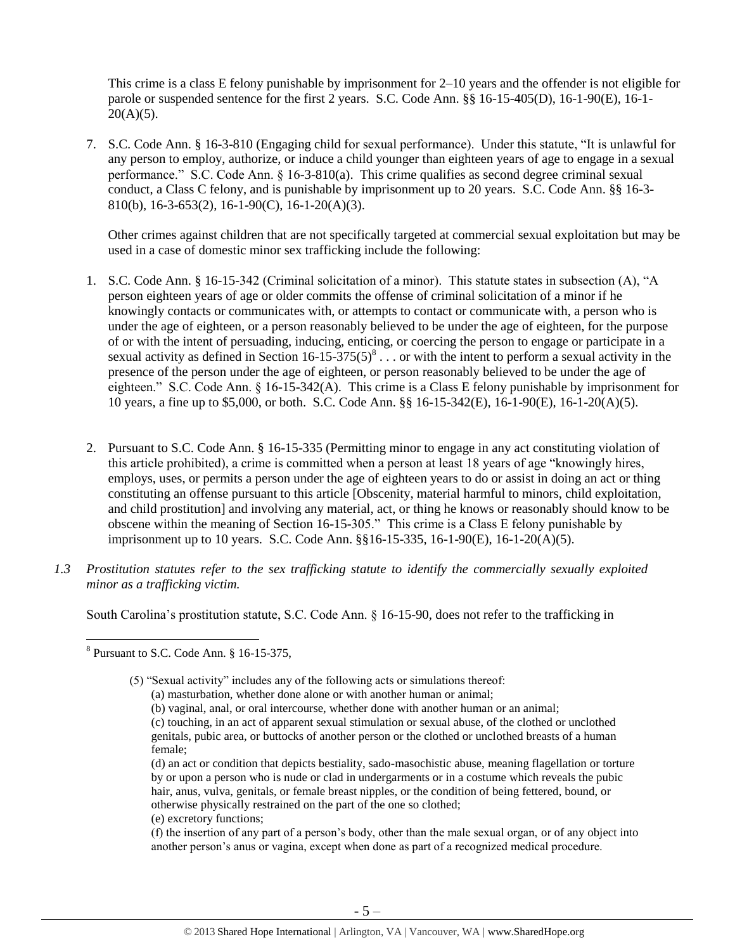This crime is a class E felony punishable by imprisonment for 2–10 years and the offender is not eligible for parole or suspended sentence for the first 2 years. S.C. Code Ann. §§ 16-15-405(D), 16-1-90(E), 16-1-  $20(A)(5)$ .

7. S.C. Code Ann. § 16-3-810 (Engaging child for sexual performance). Under this statute, "It is unlawful for any person to employ, authorize, or induce a child younger than eighteen years of age to engage in a sexual performance." S.C. Code Ann. § 16-3-810(a). This crime qualifies as second degree criminal sexual conduct, a Class C felony, and is punishable by imprisonment up to 20 years. S.C. Code Ann. §§ 16-3- 810(b), 16-3-653(2), 16-1-90(C), 16-1-20(A)(3).

<span id="page-4-0"></span>Other crimes against children that are not specifically targeted at commercial sexual exploitation but may be used in a case of domestic minor sex trafficking include the following:

- 1. S.C. Code Ann. § 16-15-342 (Criminal solicitation of a minor). This statute states in subsection (A), "A person eighteen years of age or older commits the offense of criminal solicitation of a minor if he knowingly contacts or communicates with, or attempts to contact or communicate with, a person who is under the age of eighteen, or a person reasonably believed to be under the age of eighteen, for the purpose of or with the intent of persuading, inducing, enticing, or coercing the person to engage or participate in a sexual activity as defined in Section  $16-15-375(5)^8$ ... or with the intent to perform a sexual activity in the presence of the person under the age of eighteen, or person reasonably believed to be under the age of eighteen." S.C. Code Ann. § 16-15-342(A). This crime is a Class E felony punishable by imprisonment for 10 years, a fine up to \$5,000, or both. S.C. Code Ann. §§ 16-15-342(E), 16-1-90(E), 16-1-20(A)(5).
- 2. Pursuant to S.C. Code Ann. § 16-15-335 (Permitting minor to engage in any act constituting violation of this article prohibited), a crime is committed when a person at least 18 years of age "knowingly hires, employs, uses, or permits a person under the age of eighteen years to do or assist in doing an act or thing constituting an offense pursuant to this article [Obscenity, material harmful to minors, child exploitation, and child prostitution] and involving any material, act, or thing he knows or reasonably should know to be obscene within the meaning of Section 16-15-305." This crime is a Class E felony punishable by imprisonment up to 10 years. S.C. Code Ann. §§16-15-335, 16-1-90(E), 16-1-20(A)(5).
- *1.3 Prostitution statutes refer to the sex trafficking statute to identify the commercially sexually exploited minor as a trafficking victim.*

South Carolina's prostitution statute, S.C. Code Ann. § 16-15-90, does not refer to the trafficking in

(e) excretory functions;

 8 Pursuant to S.C. Code Ann. § 16-15-375,

<sup>(5) &</sup>quot;Sexual activity" includes any of the following acts or simulations thereof:

<sup>(</sup>a) masturbation, whether done alone or with another human or animal;

<sup>(</sup>b) vaginal, anal, or oral intercourse, whether done with another human or an animal; (c) touching, in an act of apparent sexual stimulation or sexual abuse, of the clothed or unclothed genitals, pubic area, or buttocks of another person or the clothed or unclothed breasts of a human female;

<sup>(</sup>d) an act or condition that depicts bestiality, sado-masochistic abuse, meaning flagellation or torture by or upon a person who is nude or clad in undergarments or in a costume which reveals the pubic hair, anus, vulva, genitals, or female breast nipples, or the condition of being fettered, bound, or otherwise physically restrained on the part of the one so clothed;

<sup>(</sup>f) the insertion of any part of a person's body, other than the male sexual organ, or of any object into another person's anus or vagina, except when done as part of a recognized medical procedure.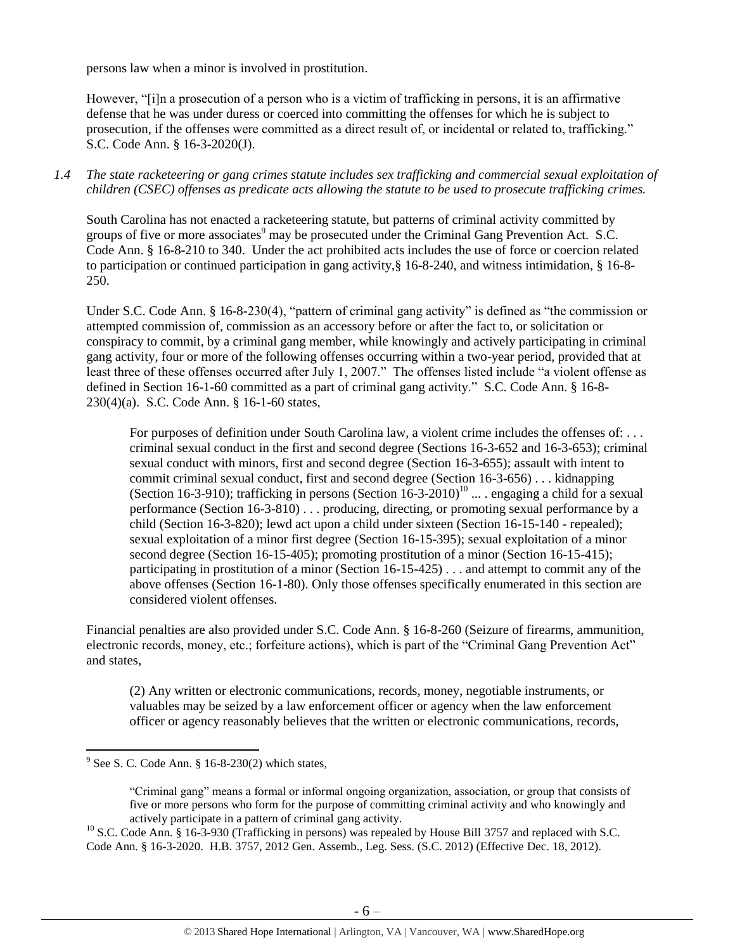persons law when a minor is involved in prostitution.

However, "[i]n a prosecution of a person who is a victim of trafficking in persons, it is an affirmative defense that he was under duress or coerced into committing the offenses for which he is subject to prosecution, if the offenses were committed as a direct result of, or incidental or related to, trafficking." S.C. Code Ann. § 16-3-2020(J).

#### *1.4 The state racketeering or gang crimes statute includes sex trafficking and commercial sexual exploitation of children (CSEC) offenses as predicate acts allowing the statute to be used to prosecute trafficking crimes.*

South Carolina has not enacted a racketeering statute, but patterns of criminal activity committed by groups of five or more associates<sup>9</sup> may be prosecuted under the Criminal Gang Prevention Act. S.C. Code Ann. § 16-8-210 to 340. Under the act prohibited acts includes the use of force or coercion related to participation or continued participation in gang activity,§ 16-8-240, and witness intimidation, § 16-8- 250.

Under S.C. Code Ann. § 16-8-230(4), "pattern of criminal gang activity" is defined as "the commission or attempted commission of, commission as an accessory before or after the fact to, or solicitation or conspiracy to commit, by a criminal gang member, while knowingly and actively participating in criminal gang activity, four or more of the following offenses occurring within a two-year period, provided that at least three of these offenses occurred after July 1, 2007." The offenses listed include "a violent offense as defined in Section 16-1-60 committed as a part of criminal gang activity." S.C. Code Ann. § 16-8- 230(4)(a). S.C. Code Ann. § 16-1-60 states,

<span id="page-5-0"></span>For purposes of definition under South Carolina law, a violent crime includes the offenses of: ... criminal sexual conduct in the first and second degree (Sections 16-3-652 and 16-3-653); criminal sexual conduct with minors, first and second degree (Section 16-3-655); assault with intent to commit criminal sexual conduct, first and second degree (Section 16-3-656) . . . kidnapping (Section 16-3-910); trafficking in persons (Section  $16$ -3-2010)<sup>10</sup> ... . engaging a child for a sexual performance (Section 16-3-810) . . . producing, directing, or promoting sexual performance by a child (Section 16-3-820); lewd act upon a child under sixteen (Section 16-15-140 - repealed); sexual exploitation of a minor first degree (Section 16-15-395); sexual exploitation of a minor second degree (Section 16-15-405); promoting prostitution of a minor (Section 16-15-415); participating in prostitution of a minor (Section 16-15-425) . . . and attempt to commit any of the above offenses (Section 16-1-80). Only those offenses specifically enumerated in this section are considered violent offenses.

Financial penalties are also provided under S.C. Code Ann. § 16-8-260 (Seizure of firearms, ammunition, electronic records, money, etc.; forfeiture actions), which is part of the "Criminal Gang Prevention Act" and states,

(2) Any written or electronic communications, records, money, negotiable instruments, or valuables may be seized by a law enforcement officer or agency when the law enforcement officer or agency reasonably believes that the written or electronic communications, records,

 $\frac{9}{9}$  See S. C. Code Ann. § 16-8-230(2) which states,

<sup>&</sup>quot;Criminal gang" means a formal or informal ongoing organization, association, or group that consists of five or more persons who form for the purpose of committing criminal activity and who knowingly and actively participate in a pattern of criminal gang activity.

<sup>&</sup>lt;sup>10</sup> S.C. Code Ann. § 16-3-930 (Trafficking in persons) was repealed by House Bill 3757 and replaced with S.C. Code Ann. § 16-3-2020. H.B. 3757, 2012 Gen. Assemb., Leg. Sess. (S.C. 2012) (Effective Dec. 18, 2012).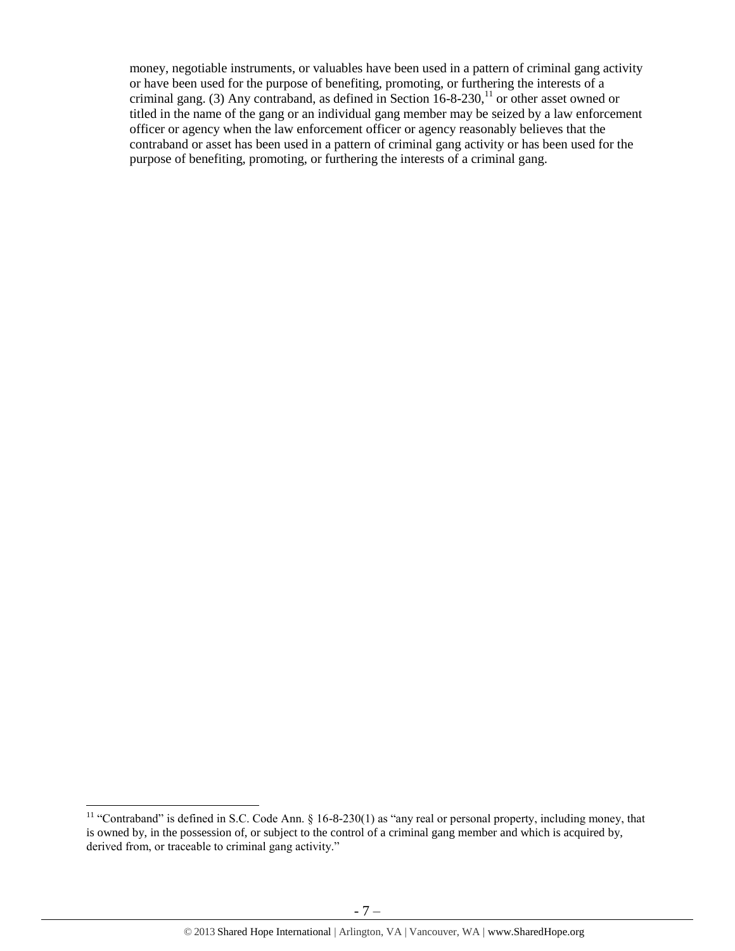money, negotiable instruments, or valuables have been used in a pattern of criminal gang activity or have been used for the purpose of benefiting, promoting, or furthering the interests of a criminal gang. (3) Any contraband, as defined in Section  $16-8-230$ ,<sup>11</sup> or other asset owned or titled in the name of the gang or an individual gang member may be seized by a law enforcement officer or agency when the law enforcement officer or agency reasonably believes that the contraband or asset has been used in a pattern of criminal gang activity or has been used for the purpose of benefiting, promoting, or furthering the interests of a criminal gang.

 $\overline{a}$ 

<sup>&</sup>lt;sup>11</sup> "Contraband" is defined in S.C. Code Ann.  $\S$  16-8-230(1) as "any real or personal property, including money, that is owned by, in the possession of, or subject to the control of a criminal gang member and which is acquired by, derived from, or traceable to criminal gang activity."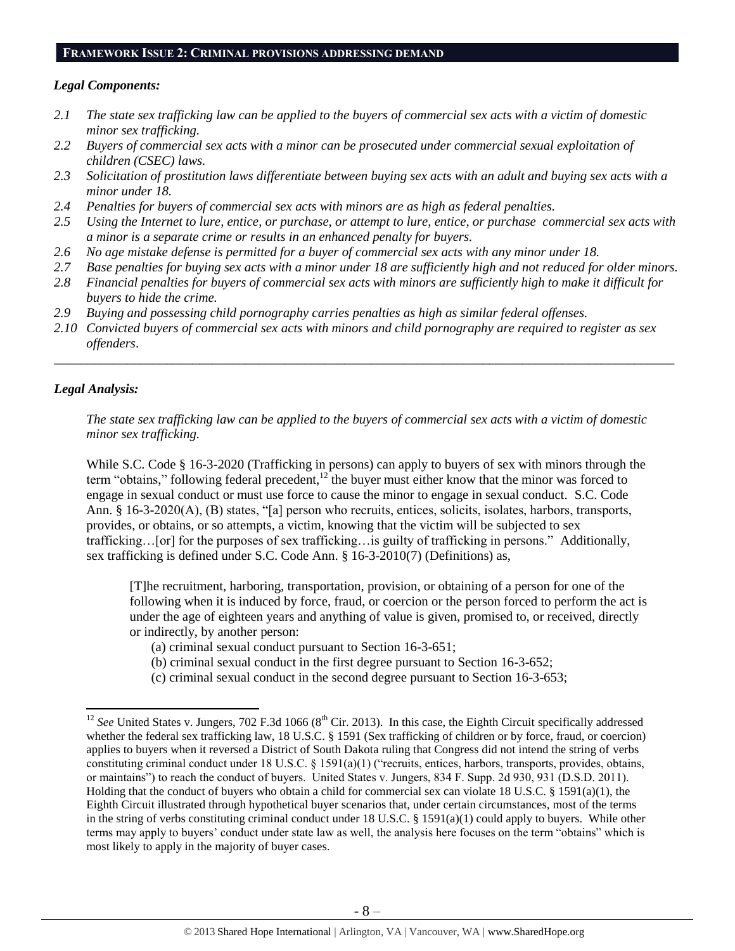## **FRAMEWORK ISSUE 2: CRIMINAL PROVISIONS ADDRESSING DEMAND**

#### *Legal Components:*

- *2.1 The state sex trafficking law can be applied to the buyers of commercial sex acts with a victim of domestic minor sex trafficking.*
- *2.2 Buyers of commercial sex acts with a minor can be prosecuted under commercial sexual exploitation of children (CSEC) laws.*
- *2.3 Solicitation of prostitution laws differentiate between buying sex acts with an adult and buying sex acts with a minor under 18.*
- *2.4 Penalties for buyers of commercial sex acts with minors are as high as federal penalties.*
- *2.5 Using the Internet to lure, entice, or purchase, or attempt to lure, entice, or purchase commercial sex acts with a minor is a separate crime or results in an enhanced penalty for buyers.*
- *2.6 No age mistake defense is permitted for a buyer of commercial sex acts with any minor under 18.*
- *2.7 Base penalties for buying sex acts with a minor under 18 are sufficiently high and not reduced for older minors.*
- *2.8 Financial penalties for buyers of commercial sex acts with minors are sufficiently high to make it difficult for buyers to hide the crime.*
- *2.9 Buying and possessing child pornography carries penalties as high as similar federal offenses.*
- *2.10 Convicted buyers of commercial sex acts with minors and child pornography are required to register as sex offenders*.

\_\_\_\_\_\_\_\_\_\_\_\_\_\_\_\_\_\_\_\_\_\_\_\_\_\_\_\_\_\_\_\_\_\_\_\_\_\_\_\_\_\_\_\_\_\_\_\_\_\_\_\_\_\_\_\_\_\_\_\_\_\_\_\_\_\_\_\_\_\_\_\_\_\_\_\_\_\_\_\_\_\_\_\_\_\_\_\_\_\_\_\_\_\_

### *Legal Analysis:*

 $\overline{\phantom{a}}$ 

*The state sex trafficking law can be applied to the buyers of commercial sex acts with a victim of domestic minor sex trafficking.*

While S.C. Code § 16-3-2020 (Trafficking in persons) can apply to buyers of sex with minors through the term "obtains," following federal precedent,<sup>12</sup> the buyer must either know that the minor was forced to engage in sexual conduct or must use force to cause the minor to engage in sexual conduct. S.C. Code Ann. § 16-3-2020(A), (B) states, "[a] person who recruits, entices, solicits, isolates, harbors, transports, provides, or obtains, or so attempts, a victim, knowing that the victim will be subjected to sex trafficking…[or] for the purposes of sex trafficking…is guilty of trafficking in persons." Additionally, sex trafficking is defined under S.C. Code Ann. § 16-3-2010(7) (Definitions) as,

[T]he recruitment, harboring, transportation, provision, or obtaining of a person for one of the following when it is induced by force, fraud, or coercion or the person forced to perform the act is under the age of eighteen years and anything of value is given, promised to, or received, directly or indirectly, by another person:

- (a) criminal sexual conduct pursuant to Section 16-3-651;
- (b) criminal sexual conduct in the first degree pursuant to Section 16-3-652;
- (c) criminal sexual conduct in the second degree pursuant to Section 16-3-653;

 $12$  *See* United States v. Jungers, 702 F.3d 1066 ( $8<sup>th</sup>$  Cir. 2013). In this case, the Eighth Circuit specifically addressed whether the federal sex trafficking law, 18 U.S.C. § 1591 (Sex trafficking of children or by force, fraud, or coercion) applies to buyers when it reversed a District of South Dakota ruling that Congress did not intend the string of verbs constituting criminal conduct under 18 U.S.C. § 1591(a)(1) ("recruits, entices, harbors, transports, provides, obtains, or maintains") to reach the conduct of buyers. United States v. Jungers, 834 F. Supp. 2d 930, 931 (D.S.D. 2011). Holding that the conduct of buyers who obtain a child for commercial sex can violate 18 U.S.C. § 1591(a)(1), the Eighth Circuit illustrated through hypothetical buyer scenarios that, under certain circumstances, most of the terms in the string of verbs constituting criminal conduct under 18 U.S.C. § 1591(a)(1) could apply to buyers. While other terms may apply to buyers' conduct under state law as well, the analysis here focuses on the term "obtains" which is most likely to apply in the majority of buyer cases.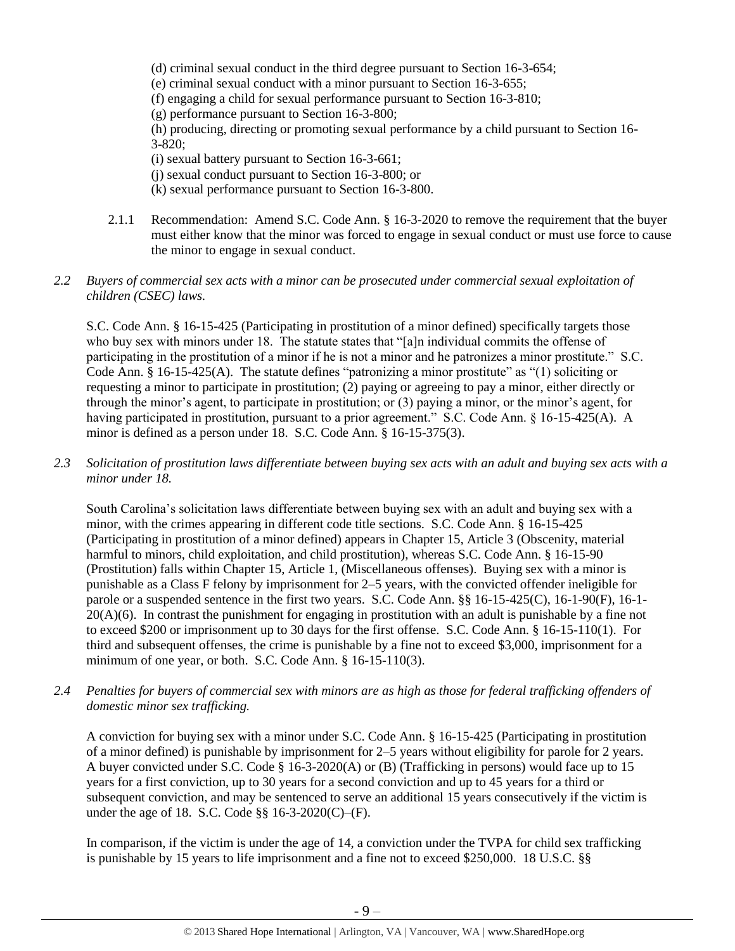- (d) criminal sexual conduct in the third degree pursuant to Section 16-3-654;
- (e) criminal sexual conduct with a minor pursuant to Section 16-3-655;
- (f) engaging a child for sexual performance pursuant to Section 16-3-810;
- (g) performance pursuant to Section 16-3-800;

(h) producing, directing or promoting sexual performance by a child pursuant to Section 16- 3-820;

- (i) sexual battery pursuant to Section 16-3-661;
- (j) sexual conduct pursuant to Section 16-3-800; or
- (k) sexual performance pursuant to Section 16-3-800.
- 2.1.1 Recommendation: Amend S.C. Code Ann. § 16-3-2020 to remove the requirement that the buyer must either know that the minor was forced to engage in sexual conduct or must use force to cause the minor to engage in sexual conduct.

#### *2.2 Buyers of commercial sex acts with a minor can be prosecuted under commercial sexual exploitation of children (CSEC) laws.*

S.C. Code Ann. § 16-15-425 (Participating in prostitution of a minor defined) specifically targets those who buy sex with minors under 18. The statute states that "[a]n individual commits the offense of participating in the prostitution of a minor if he is not a minor and he patronizes a minor prostitute." S.C. Code Ann. § 16-15-425(A). The statute defines "patronizing a minor prostitute" as "(1) soliciting or requesting a minor to participate in prostitution; (2) paying or agreeing to pay a minor, either directly or through the minor's agent, to participate in prostitution; or (3) paying a minor, or the minor's agent, for having participated in prostitution, pursuant to a prior agreement." S.C. Code Ann. § 16-15-425(A). A minor is defined as a person under 18. S.C. Code Ann. § 16-15-375(3).

*2.3 Solicitation of prostitution laws differentiate between buying sex acts with an adult and buying sex acts with a minor under 18.*

South Carolina's solicitation laws differentiate between buying sex with an adult and buying sex with a minor, with the crimes appearing in different code title sections. S.C. Code Ann. § 16-15-425 (Participating in prostitution of a minor defined) appears in Chapter 15, Article 3 (Obscenity, material harmful to minors, child exploitation, and child prostitution), whereas S.C. Code Ann. § 16-15-90 (Prostitution) falls within Chapter 15, Article 1, (Miscellaneous offenses). Buying sex with a minor is punishable as a Class F felony by imprisonment for 2–5 years, with the convicted offender ineligible for parole or a suspended sentence in the first two years. S.C. Code Ann. §§ 16-15-425(C), 16-1-90(F), 16-1-  $20(A)(6)$ . In contrast the punishment for engaging in prostitution with an adult is punishable by a fine not to exceed \$200 or imprisonment up to 30 days for the first offense. S.C. Code Ann. § 16-15-110(1). For third and subsequent offenses, the crime is punishable by a fine not to exceed \$3,000, imprisonment for a minimum of one year, or both. S.C. Code Ann. § 16-15-110(3).

*2.4 Penalties for buyers of commercial sex with minors are as high as those for federal trafficking offenders of domestic minor sex trafficking.*

A conviction for buying sex with a minor under S.C. Code Ann. § 16-15-425 (Participating in prostitution of a minor defined) is punishable by imprisonment for 2–5 years without eligibility for parole for 2 years. A buyer convicted under S.C. Code § 16-3-2020(A) or (B) (Trafficking in persons) would face up to 15 years for a first conviction, up to 30 years for a second conviction and up to 45 years for a third or subsequent conviction, and may be sentenced to serve an additional 15 years consecutively if the victim is under the age of 18. S.C. Code §§ 16-3-2020(C)–(F).

In comparison, if the victim is under the age of 14, a conviction under the TVPA for child sex trafficking is punishable by 15 years to life imprisonment and a fine not to exceed \$250,000. 18 U.S.C. §§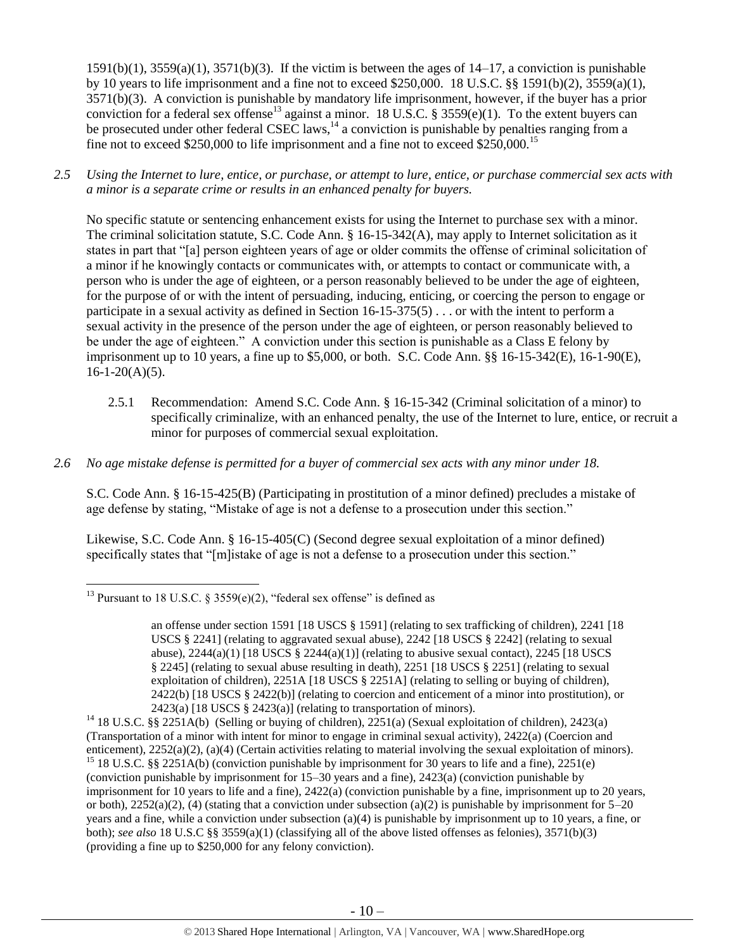<span id="page-9-0"></span> $1591(b)(1)$ ,  $3559(a)(1)$ ,  $3571(b)(3)$ . If the victim is between the ages of  $14-17$ , a conviction is punishable by 10 years to life imprisonment and a fine not to exceed \$250,000. 18 U.S.C. §§ 1591(b)(2), 3559(a)(1), 3571(b)(3). A conviction is punishable by mandatory life imprisonment, however, if the buyer has a prior conviction for a federal sex offense<sup>13</sup> against a minor. 18 U.S.C. § 3559(e)(1). To the extent buyers can be prosecuted under other federal CSEC laws,  $^{14}$  a conviction is punishable by penalties ranging from a fine not to exceed \$250,000 to life imprisonment and a fine not to exceed \$250,000.<sup>15</sup>

*2.5 Using the Internet to lure, entice, or purchase, or attempt to lure, entice, or purchase commercial sex acts with a minor is a separate crime or results in an enhanced penalty for buyers.*

No specific statute or sentencing enhancement exists for using the Internet to purchase sex with a minor. The criminal solicitation statute, S.C. Code Ann. § 16-15-342(A), may apply to Internet solicitation as it states in part that "[a] person eighteen years of age or older commits the offense of criminal solicitation of a minor if he knowingly contacts or communicates with, or attempts to contact or communicate with, a person who is under the age of eighteen, or a person reasonably believed to be under the age of eighteen, for the purpose of or with the intent of persuading, inducing, enticing, or coercing the person to engage or participate in a sexual activity as defined in Section 16-15-375(5) . . . or with the intent to perform a sexual activity in the presence of the person under the age of eighteen, or person reasonably believed to be under the age of eighteen." A conviction under this section is punishable as a Class E felony by imprisonment up to 10 years, a fine up to \$5,000, or both. S.C. Code Ann. §§ 16-15-342(E), 16-1-90(E),  $16-1-20(A)(5)$ .

- 2.5.1 Recommendation: Amend S.C. Code Ann. § 16-15-342 (Criminal solicitation of a minor) to specifically criminalize, with an enhanced penalty, the use of the Internet to lure, entice, or recruit a minor for purposes of commercial sexual exploitation.
- *2.6 No age mistake defense is permitted for a buyer of commercial sex acts with any minor under 18.*

S.C. Code Ann. § 16-15-425(B) (Participating in prostitution of a minor defined) precludes a mistake of age defense by stating, "Mistake of age is not a defense to a prosecution under this section."

Likewise, S.C. Code Ann. § 16-15-405(C) (Second degree sexual exploitation of a minor defined) specifically states that "[m]istake of age is not a defense to a prosecution under this section."

 $\overline{\phantom{a}}$ <sup>13</sup> Pursuant to 18 U.S.C. § 3559(e)(2), "federal sex offense" is defined as

an offense under section 1591 [18 USCS § 1591] (relating to sex trafficking of children), 2241 [18 USCS § 2241] (relating to aggravated sexual abuse), 2242 [18 USCS § 2242] (relating to sexual abuse),  $2244(a)(1)$  [18 USCS §  $2244(a)(1)$ ] (relating to abusive sexual contact),  $2245$  [18 USCS § 2245] (relating to sexual abuse resulting in death), 2251 [18 USCS § 2251] (relating to sexual exploitation of children), 2251A [18 USCS § 2251A] (relating to selling or buying of children), 2422(b) [18 USCS § 2422(b)] (relating to coercion and enticement of a minor into prostitution), or  $2423(a)$  [18 USCS § 2423(a)] (relating to transportation of minors).

<sup>&</sup>lt;sup>14</sup> 18 U.S.C. §§ 2251A(b) (Selling or buying of children),  $2251(a)$  (Sexual exploitation of children), 2423(a) (Transportation of a minor with intent for minor to engage in criminal sexual activity), 2422(a) (Coercion and enticement), 2252(a)(2), (a)(4) (Certain activities relating to material involving the sexual exploitation of minors). <sup>15</sup> 18 U.S.C. §§ 2251A(b) (conviction punishable by imprisonment for 30 years to life and a fine), 2251(e) (conviction punishable by imprisonment for 15–30 years and a fine), 2423(a) (conviction punishable by imprisonment for 10 years to life and a fine), 2422(a) (conviction punishable by a fine, imprisonment up to 20 years,

or both),  $2252(a)(2)$ , (4) (stating that a conviction under subsection (a)(2) is punishable by imprisonment for  $5-20$ years and a fine, while a conviction under subsection (a)(4) is punishable by imprisonment up to 10 years, a fine, or both); *see also* 18 U.S.C §§ 3559(a)(1) (classifying all of the above listed offenses as felonies), 3571(b)(3) (providing a fine up to \$250,000 for any felony conviction).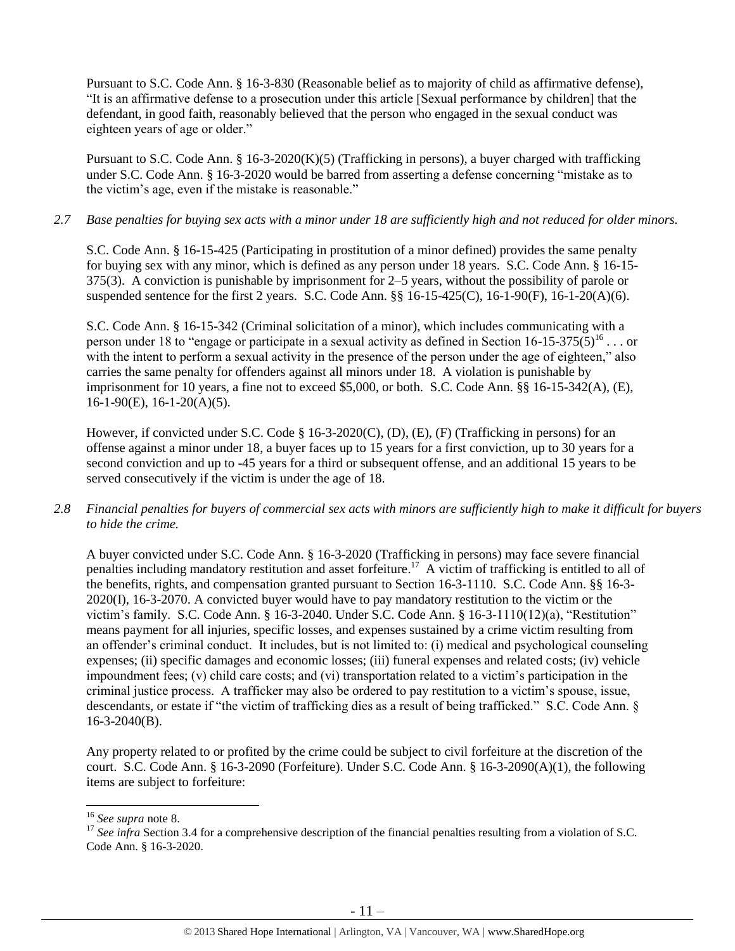Pursuant to S.C. Code Ann. § 16-3-830 (Reasonable belief as to majority of child as affirmative defense), "It is an affirmative defense to a prosecution under this article [Sexual performance by children] that the defendant, in good faith, reasonably believed that the person who engaged in the sexual conduct was eighteen years of age or older."

Pursuant to S.C. Code Ann. § 16-3-2020(K)(5) (Trafficking in persons), a buyer charged with trafficking under S.C. Code Ann. § 16-3-2020 would be barred from asserting a defense concerning "mistake as to the victim's age, even if the mistake is reasonable."

#### *2.7 Base penalties for buying sex acts with a minor under 18 are sufficiently high and not reduced for older minors.*

S.C. Code Ann. § 16-15-425 (Participating in prostitution of a minor defined) provides the same penalty for buying sex with any minor, which is defined as any person under 18 years. S.C. Code Ann. § 16-15- 375(3). A conviction is punishable by imprisonment for 2–5 years, without the possibility of parole or suspended sentence for the first 2 years. S.C. Code Ann. §§ 16-15-425(C), 16-1-90(F), 16-1-20(A)(6).

S.C. Code Ann. § 16-15-342 (Criminal solicitation of a minor), which includes communicating with a person under 18 to "engage or participate in a sexual activity as defined in Section  $16{\text -}15{\text -}375(5)^{16}$ ... or with the intent to perform a sexual activity in the presence of the person under the age of eighteen," also carries the same penalty for offenders against all minors under 18. A violation is punishable by imprisonment for 10 years, a fine not to exceed \$5,000, or both. S.C. Code Ann. §§ 16-15-342(A), (E), 16-1-90(E), 16-1-20(A)(5).

However, if convicted under S.C. Code § 16-3-2020(C), (D), (E), (F) (Trafficking in persons) for an offense against a minor under 18, a buyer faces up to 15 years for a first conviction, up to 30 years for a second conviction and up to -45 years for a third or subsequent offense, and an additional 15 years to be served consecutively if the victim is under the age of 18.

*2.8 Financial penalties for buyers of commercial sex acts with minors are sufficiently high to make it difficult for buyers to hide the crime.*

A buyer convicted under S.C. Code Ann. § 16-3-2020 (Trafficking in persons) may face severe financial penalties including mandatory restitution and asset forfeiture.<sup>17</sup> A victim of trafficking is entitled to all of the benefits, rights, and compensation granted pursuant to Section 16-3-1110. S.C. Code Ann. §§ 16-3- 2020(I), 16-3-2070. A convicted buyer would have to pay mandatory restitution to the victim or the victim's family. S.C. Code Ann. § 16-3-2040. Under S.C. Code Ann. § 16-3-1110(12)(a), "Restitution" means payment for all injuries, specific losses, and expenses sustained by a crime victim resulting from an offender's criminal conduct. It includes, but is not limited to: (i) medical and psychological counseling expenses; (ii) specific damages and economic losses; (iii) funeral expenses and related costs; (iv) vehicle impoundment fees;  $(v)$  child care costs; and  $(vi)$  transportation related to a victim's participation in the criminal justice process. A trafficker may also be ordered to pay restitution to a victim's spouse, issue, descendants, or estate if "the victim of trafficking dies as a result of being trafficked." S.C. Code Ann. § 16-3-2040(B).

Any property related to or profited by the crime could be subject to civil forfeiture at the discretion of the court. S.C. Code Ann. § 16-3-2090 (Forfeiture). Under S.C. Code Ann. § 16-3-2090(A)(1), the following items are subject to forfeiture:

 $\overline{a}$ 

<sup>16</sup> *See supra* note [8.](#page-4-0)

<sup>&</sup>lt;sup>17</sup> See infra Section 3.4 for a comprehensive description of the financial penalties resulting from a violation of S.C. Code Ann. § 16-3-2020.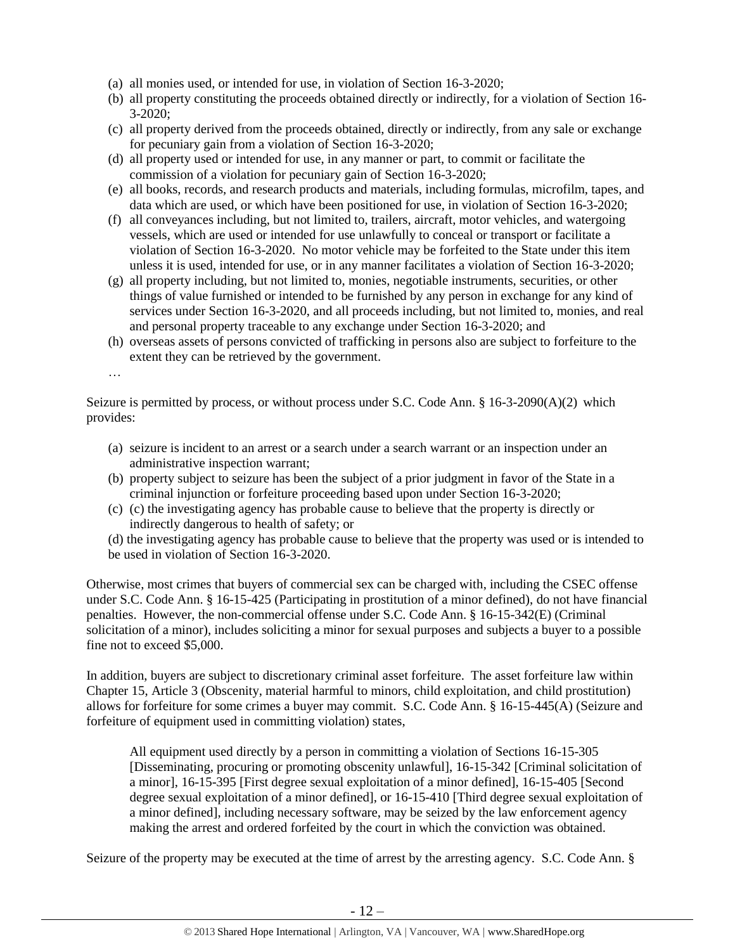- (a) all monies used, or intended for use, in violation of Section 16-3-2020;
- (b) all property constituting the proceeds obtained directly or indirectly, for a violation of Section 16- 3-2020;
- (c) all property derived from the proceeds obtained, directly or indirectly, from any sale or exchange for pecuniary gain from a violation of Section 16-3-2020;
- (d) all property used or intended for use, in any manner or part, to commit or facilitate the commission of a violation for pecuniary gain of Section 16-3-2020;
- (e) all books, records, and research products and materials, including formulas, microfilm, tapes, and data which are used, or which have been positioned for use, in violation of Section 16-3-2020;
- (f) all conveyances including, but not limited to, trailers, aircraft, motor vehicles, and watergoing vessels, which are used or intended for use unlawfully to conceal or transport or facilitate a violation of Section 16-3-2020. No motor vehicle may be forfeited to the State under this item unless it is used, intended for use, or in any manner facilitates a violation of Section 16-3-2020;
- (g) all property including, but not limited to, monies, negotiable instruments, securities, or other things of value furnished or intended to be furnished by any person in exchange for any kind of services under Section 16-3-2020, and all proceeds including, but not limited to, monies, and real and personal property traceable to any exchange under Section 16-3-2020; and
- (h) overseas assets of persons convicted of trafficking in persons also are subject to forfeiture to the extent they can be retrieved by the government.
- …

Seizure is permitted by process, or without process under S.C. Code Ann. § 16-3-2090(A)(2) which provides:

- (a) seizure is incident to an arrest or a search under a search warrant or an inspection under an administrative inspection warrant;
- (b) property subject to seizure has been the subject of a prior judgment in favor of the State in a criminal injunction or forfeiture proceeding based upon under Section 16-3-2020;
- (c) (c) the investigating agency has probable cause to believe that the property is directly or indirectly dangerous to health of safety; or

(d) the investigating agency has probable cause to believe that the property was used or is intended to be used in violation of Section 16-3-2020.

Otherwise, most crimes that buyers of commercial sex can be charged with, including the CSEC offense under S.C. Code Ann. § 16-15-425 (Participating in prostitution of a minor defined), do not have financial penalties. However, the non-commercial offense under S.C. Code Ann. § 16-15-342(E) (Criminal solicitation of a minor), includes soliciting a minor for sexual purposes and subjects a buyer to a possible fine not to exceed \$5,000.

In addition, buyers are subject to discretionary criminal asset forfeiture. The asset forfeiture law within Chapter 15, Article 3 (Obscenity, material harmful to minors, child exploitation, and child prostitution) allows for forfeiture for some crimes a buyer may commit. S.C. Code Ann. § 16-15-445(A) (Seizure and forfeiture of equipment used in committing violation) states,

All equipment used directly by a person in committing a violation of Sections 16-15-305 [Disseminating, procuring or promoting obscenity unlawful], 16-15-342 [Criminal solicitation of a minor], 16-15-395 [First degree sexual exploitation of a minor defined], 16-15-405 [Second degree sexual exploitation of a minor defined], or 16-15-410 [Third degree sexual exploitation of a minor defined], including necessary software, may be seized by the law enforcement agency making the arrest and ordered forfeited by the court in which the conviction was obtained.

Seizure of the property may be executed at the time of arrest by the arresting agency. S.C. Code Ann. §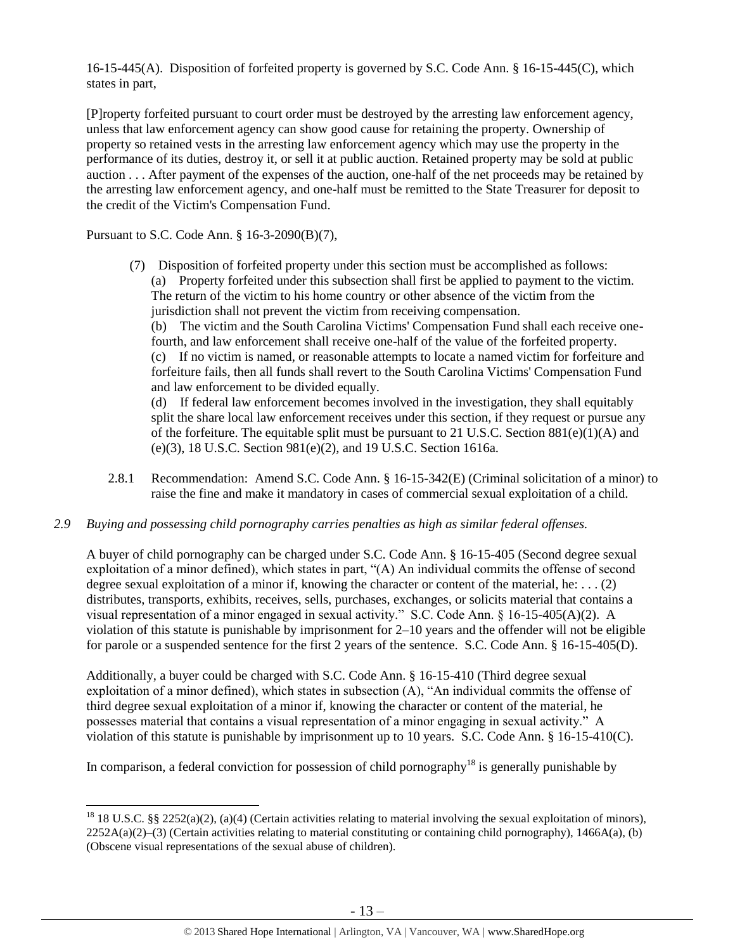16-15-445(A). Disposition of forfeited property is governed by S.C. Code Ann. § 16-15-445(C), which states in part,

[P]roperty forfeited pursuant to court order must be destroyed by the arresting law enforcement agency, unless that law enforcement agency can show good cause for retaining the property. Ownership of property so retained vests in the arresting law enforcement agency which may use the property in the performance of its duties, destroy it, or sell it at public auction. Retained property may be sold at public auction . . . After payment of the expenses of the auction, one-half of the net proceeds may be retained by the arresting law enforcement agency, and one-half must be remitted to the State Treasurer for deposit to the credit of the Victim's Compensation Fund.

Pursuant to S.C. Code Ann. § 16-3-2090(B)(7),

 $\overline{a}$ 

(7) Disposition of forfeited property under this section must be accomplished as follows: (a) Property forfeited under this subsection shall first be applied to payment to the victim. The return of the victim to his home country or other absence of the victim from the jurisdiction shall not prevent the victim from receiving compensation.

(b) The victim and the South Carolina Victims' Compensation Fund shall each receive onefourth, and law enforcement shall receive one-half of the value of the forfeited property. (c) If no victim is named, or reasonable attempts to locate a named victim for forfeiture and forfeiture fails, then all funds shall revert to the South Carolina Victims' Compensation Fund and law enforcement to be divided equally.

(d) If federal law enforcement becomes involved in the investigation, they shall equitably split the share local law enforcement receives under this section, if they request or pursue any of the forfeiture. The equitable split must be pursuant to 21 U.S.C. Section  $881(e)(1)(A)$  and (e)(3), 18 U.S.C. Section 981(e)(2), and 19 U.S.C. Section 1616a.

- 2.8.1 Recommendation: Amend S.C. Code Ann. § 16-15-342(E) (Criminal solicitation of a minor) to raise the fine and make it mandatory in cases of commercial sexual exploitation of a child.
- *2.9 Buying and possessing child pornography carries penalties as high as similar federal offenses.*

A buyer of child pornography can be charged under S.C. Code Ann. § 16-15-405 (Second degree sexual exploitation of a minor defined), which states in part, "(A) An individual commits the offense of second degree sexual exploitation of a minor if, knowing the character or content of the material, he:  $\dots$  (2) distributes, transports, exhibits, receives, sells, purchases, exchanges, or solicits material that contains a visual representation of a minor engaged in sexual activity." S.C. Code Ann. § 16-15-405(A)(2). A violation of this statute is punishable by imprisonment for 2–10 years and the offender will not be eligible for parole or a suspended sentence for the first 2 years of the sentence. S.C. Code Ann. § 16-15-405(D).

Additionally, a buyer could be charged with S.C. Code Ann. § 16-15-410 (Third degree sexual exploitation of a minor defined), which states in subsection (A), "An individual commits the offense of third degree sexual exploitation of a minor if, knowing the character or content of the material, he possesses material that contains a visual representation of a minor engaging in sexual activity." A violation of this statute is punishable by imprisonment up to 10 years. S.C. Code Ann. § 16-15-410(C).

In comparison, a federal conviction for possession of child pornography<sup>18</sup> is generally punishable by

<sup>&</sup>lt;sup>18</sup> 18 U.S.C. §§ 2252(a)(2), (a)(4) (Certain activities relating to material involving the sexual exploitation of minors),  $2252A(a)(2)$ –(3) (Certain activities relating to material constituting or containing child pornography), 1466A(a), (b) (Obscene visual representations of the sexual abuse of children).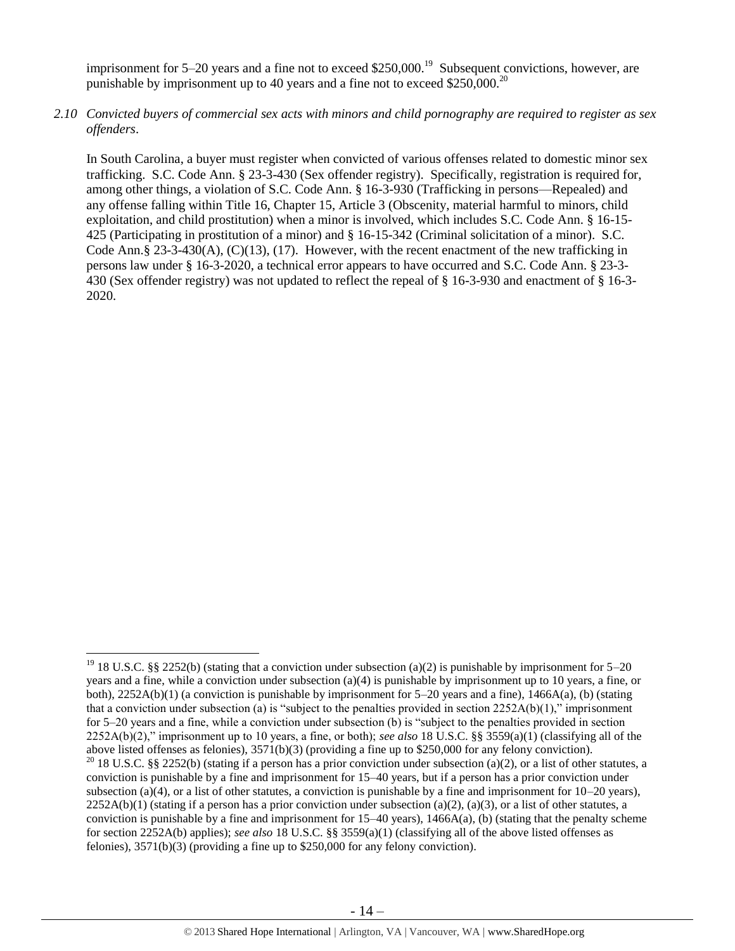imprisonment for 5–20 years and a fine not to exceed \$250,000.<sup>19</sup> Subsequent convictions, however, are punishable by imprisonment up to 40 years and a fine not to exceed \$250,000.<sup>20</sup>

*2.10 Convicted buyers of commercial sex acts with minors and child pornography are required to register as sex offenders*.

In South Carolina, a buyer must register when convicted of various offenses related to domestic minor sex trafficking. S.C. Code Ann. § 23-3-430 (Sex offender registry). Specifically, registration is required for, among other things, a violation of S.C. Code Ann. § 16-3-930 (Trafficking in persons—Repealed) and any offense falling within Title 16, Chapter 15, Article 3 (Obscenity, material harmful to minors, child exploitation, and child prostitution) when a minor is involved, which includes S.C. Code Ann. § 16-15- 425 (Participating in prostitution of a minor) and § 16-15-342 (Criminal solicitation of a minor). S.C. Code Ann.§ 23-3-430(A),  $(C)(13)$ ,  $(17)$ . However, with the recent enactment of the new trafficking in persons law under § 16-3-2020, a technical error appears to have occurred and S.C. Code Ann. § 23-3- 430 (Sex offender registry) was not updated to reflect the repeal of § 16-3-930 and enactment of § 16-3- 2020.

 $\overline{\phantom{a}}$ 

<sup>&</sup>lt;sup>19</sup> 18 U.S.C. §§ 2252(b) (stating that a conviction under subsection (a)(2) is punishable by imprisonment for 5–20 years and a fine, while a conviction under subsection (a)(4) is punishable by imprisonment up to 10 years, a fine, or both),  $2252A(b)(1)$  (a conviction is punishable by imprisonment for 5–20 years and a fine),  $1466A(a)$ , (b) (stating that a conviction under subsection (a) is "subject to the penalties provided in section  $2252A(b)(1)$ ," imprisonment for 5–20 years and a fine, while a conviction under subsection (b) is "subject to the penalties provided in section 2252A(b)(2)," imprisonment up to 10 years, a fine, or both); *see also* 18 U.S.C. §§ 3559(a)(1) (classifying all of the above listed offenses as felonies), 3571(b)(3) (providing a fine up to \$250,000 for any felony conviction). <sup>20</sup> 18 U.S.C. §§ 2252(b) (stating if a person has a prior conviction under subsection (a)(2), or a list of other statutes, a conviction is punishable by a fine and imprisonment for 15–40 years, but if a person has a prior conviction under subsection (a)(4), or a list of other statutes, a conviction is punishable by a fine and imprisonment for  $10-20$  years),  $2252A(b)(1)$  (stating if a person has a prior conviction under subsection (a)(2), (a)(3), or a list of other statutes, a conviction is punishable by a fine and imprisonment for  $15-40$  years),  $1466A(a)$ , (b) (stating that the penalty scheme for section 2252A(b) applies); *see also* 18 U.S.C. §§ 3559(a)(1) (classifying all of the above listed offenses as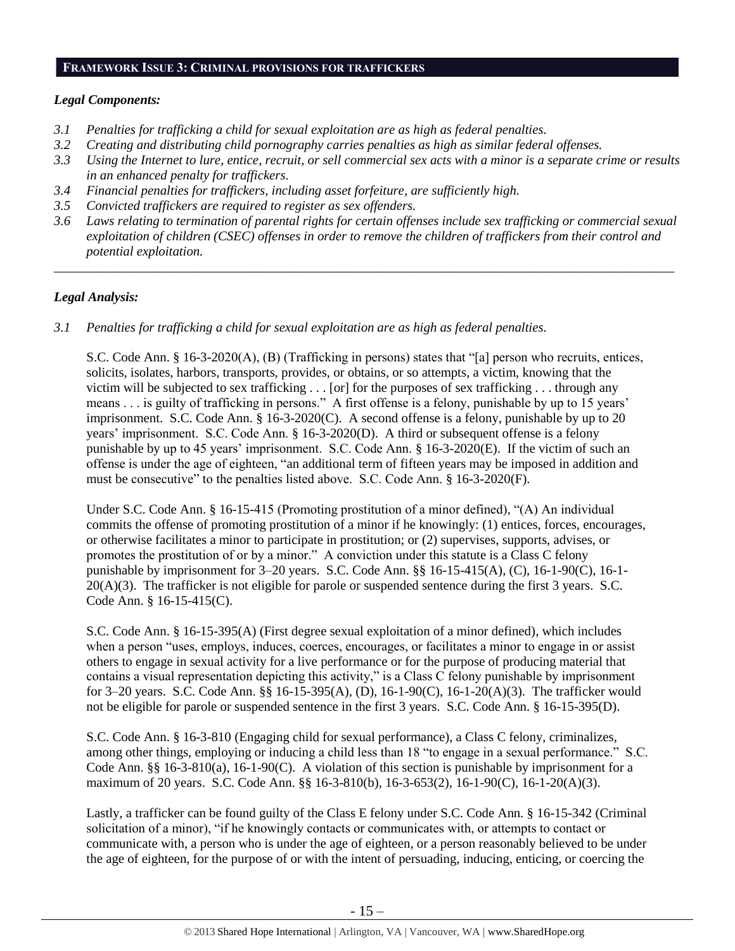#### **FRAMEWORK ISSUE 3: CRIMINAL PROVISIONS FOR TRAFFICKERS**

## *Legal Components:*

- *3.1 Penalties for trafficking a child for sexual exploitation are as high as federal penalties.*
- *3.2 Creating and distributing child pornography carries penalties as high as similar federal offenses.*
- *3.3 Using the Internet to lure, entice, recruit, or sell commercial sex acts with a minor is a separate crime or results in an enhanced penalty for traffickers.*
- *3.4 Financial penalties for traffickers, including asset forfeiture, are sufficiently high.*
- *3.5 Convicted traffickers are required to register as sex offenders.*
- *3.6 Laws relating to termination of parental rights for certain offenses include sex trafficking or commercial sexual exploitation of children (CSEC) offenses in order to remove the children of traffickers from their control and potential exploitation.*

*\_\_\_\_\_\_\_\_\_\_\_\_\_\_\_\_\_\_\_\_\_\_\_\_\_\_\_\_\_\_\_\_\_\_\_\_\_\_\_\_\_\_\_\_\_\_\_\_\_\_\_\_\_\_\_\_\_\_\_\_\_\_\_\_\_\_\_\_\_\_\_\_\_\_\_\_\_\_\_\_\_\_\_\_\_\_\_\_\_\_\_\_\_\_*

## *Legal Analysis:*

*3.1 Penalties for trafficking a child for sexual exploitation are as high as federal penalties.* 

S.C. Code Ann. § 16-3-2020(A), (B) (Trafficking in persons) states that "[a] person who recruits, entices, solicits, isolates, harbors, transports, provides, or obtains, or so attempts, a victim, knowing that the victim will be subjected to sex trafficking . . . [or] for the purposes of sex trafficking . . . through any means . . . is guilty of trafficking in persons." A first offense is a felony, punishable by up to 15 years' imprisonment. S.C. Code Ann. § 16-3-2020(C). A second offense is a felony, punishable by up to 20 years' imprisonment. S.C. Code Ann. § 16-3-2020(D). A third or subsequent offense is a felony punishable by up to 45 years' imprisonment. S.C. Code Ann. § 16-3-2020(E). If the victim of such an offense is under the age of eighteen, "an additional term of fifteen years may be imposed in addition and must be consecutive" to the penalties listed above. S.C. Code Ann. § 16-3-2020(F).

Under S.C. Code Ann. § 16-15-415 (Promoting prostitution of a minor defined), "(A) An individual commits the offense of promoting prostitution of a minor if he knowingly: (1) entices, forces, encourages, or otherwise facilitates a minor to participate in prostitution; or (2) supervises, supports, advises, or promotes the prostitution of or by a minor." A conviction under this statute is a Class C felony punishable by imprisonment for 3–20 years. S.C. Code Ann. §§ 16-15-415(A), (C), 16-1-90(C), 16-1- 20(A)(3). The trafficker is not eligible for parole or suspended sentence during the first 3 years. S.C. Code Ann. § 16-15-415(C).

S.C. Code Ann. § 16-15-395(A) (First degree sexual exploitation of a minor defined), which includes when a person "uses, employs, induces, coerces, encourages, or facilitates a minor to engage in or assist others to engage in sexual activity for a live performance or for the purpose of producing material that contains a visual representation depicting this activity," is a Class C felony punishable by imprisonment for 3–20 years. S.C. Code Ann. §§ 16-15-395(A), (D), 16-1-90(C), 16-1-20(A)(3). The trafficker would not be eligible for parole or suspended sentence in the first 3 years. S.C. Code Ann. § 16-15-395(D).

S.C. Code Ann. § 16-3-810 (Engaging child for sexual performance), a Class C felony, criminalizes, among other things, employing or inducing a child less than 18 "to engage in a sexual performance." S.C. Code Ann. §§ 16-3-810(a), 16-1-90(C). A violation of this section is punishable by imprisonment for a maximum of 20 years. S.C. Code Ann. §§ 16-3-810(b), 16-3-653(2), 16-1-90(C), 16-1-20(A)(3).

Lastly, a trafficker can be found guilty of the Class E felony under S.C. Code Ann. § 16-15-342 (Criminal solicitation of a minor), "if he knowingly contacts or communicates with, or attempts to contact or communicate with, a person who is under the age of eighteen, or a person reasonably believed to be under the age of eighteen, for the purpose of or with the intent of persuading, inducing, enticing, or coercing the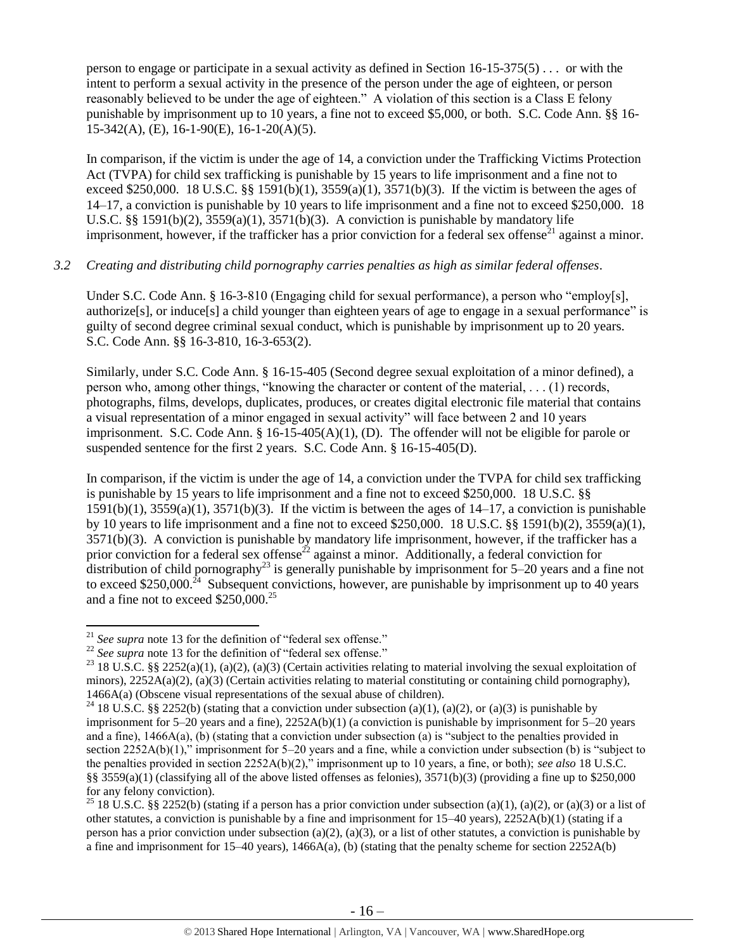person to engage or participate in a sexual activity as defined in Section  $16{\text -}15{\text -}375(5)$ ... or with the intent to perform a sexual activity in the presence of the person under the age of eighteen, or person reasonably believed to be under the age of eighteen." A violation of this section is a Class E felony punishable by imprisonment up to 10 years, a fine not to exceed \$5,000, or both. S.C. Code Ann. §§ 16- 15-342(A), (E), 16-1-90(E), 16-1-20(A)(5).

In comparison, if the victim is under the age of 14, a conviction under the Trafficking Victims Protection Act (TVPA) for child sex trafficking is punishable by 15 years to life imprisonment and a fine not to exceed \$250,000. 18 U.S.C. §§ 1591(b)(1),  $3559(a)(1)$ ,  $3571(b)(3)$ . If the victim is between the ages of 14–17, a conviction is punishable by 10 years to life imprisonment and a fine not to exceed \$250,000. 18 U.S.C. §§ 1591(b)(2),  $3559(a)(1)$ ,  $3571(b)(3)$ . A conviction is punishable by mandatory life imprisonment, however, if the trafficker has a prior conviction for a federal sex offense<sup>21</sup> against a minor.

#### *3.2 Creating and distributing child pornography carries penalties as high as similar federal offenses*.

Under S.C. Code Ann. § 16-3-810 (Engaging child for sexual performance), a person who "employ[s], authorize[s], or induce[s] a child younger than eighteen years of age to engage in a sexual performance" is guilty of second degree criminal sexual conduct, which is punishable by imprisonment up to 20 years. S.C. Code Ann. §§ 16-3-810, 16-3-653(2).

Similarly, under S.C. Code Ann. § 16-15-405 (Second degree sexual exploitation of a minor defined), a person who, among other things, "knowing the character or content of the material, . . . (1) records, photographs, films, develops, duplicates, produces, or creates digital electronic file material that contains a visual representation of a minor engaged in sexual activity" will face between 2 and 10 years imprisonment. S.C. Code Ann. § 16-15-405(A)(1), (D). The offender will not be eligible for parole or suspended sentence for the first 2 years. S.C. Code Ann. § 16-15-405(D).

In comparison, if the victim is under the age of 14, a conviction under the TVPA for child sex trafficking is punishable by 15 years to life imprisonment and a fine not to exceed \$250,000. 18 U.S.C. §§  $1591(b)(1)$ ,  $3559(a)(1)$ ,  $3571(b)(3)$ . If the victim is between the ages of  $14-17$ , a conviction is punishable by 10 years to life imprisonment and a fine not to exceed \$250,000. 18 U.S.C. §§ 1591(b)(2), 3559(a)(1), 3571(b)(3). A conviction is punishable by mandatory life imprisonment, however, if the trafficker has a prior conviction for a federal sex offense<sup>22</sup> against a minor. Additionally, a federal conviction for distribution of child pornography<sup>23</sup> is generally punishable by imprisonment for 5–20 years and a fine not to exceed \$250,000.<sup>24</sup> Subsequent convictions, however, are punishable by imprisonment up to 40 years and a fine not to exceed \$250,000.<sup>25</sup>

 $\overline{\phantom{a}}$ 

<sup>21</sup> *See supra* note [13](#page-9-0) for the definition of "federal sex offense."

<sup>&</sup>lt;sup>22</sup> *See supra* note [13](#page-9-0) for the definition of "federal sex offense."

<sup>&</sup>lt;sup>23</sup> 18 U.S.C. §§ 2252(a)(1), (a)(2), (a)(3) (Certain activities relating to material involving the sexual exploitation of minors),  $2252A(a)(2)$ , (a)(3) (Certain activities relating to material constituting or containing child pornography), 1466A(a) (Obscene visual representations of the sexual abuse of children).

<sup>&</sup>lt;sup>24</sup> 18 U.S.C. §§ 2252(b) (stating that a conviction under subsection (a)(1), (a)(2), or (a)(3) is punishable by imprisonment for  $5-20$  years and a fine),  $2252A(b)(1)$  (a conviction is punishable by imprisonment for  $5-20$  years and a fine), 1466A(a), (b) (stating that a conviction under subsection (a) is "subject to the penalties provided in section 2252A(b)(1)," imprisonment for 5–20 years and a fine, while a conviction under subsection (b) is "subject to the penalties provided in section 2252A(b)(2)," imprisonment up to 10 years, a fine, or both); *see also* 18 U.S.C. §§ 3559(a)(1) (classifying all of the above listed offenses as felonies),  $3571(b)(3)$  (providing a fine up to \$250,000 for any felony conviction).

<sup>&</sup>lt;sup>25</sup> 18 U.S.C. §§ 2252(b) (stating if a person has a prior conviction under subsection (a)(1), (a)(2), or (a)(3) or a list of other statutes, a conviction is punishable by a fine and imprisonment for 15–40 years), 2252A(b)(1) (stating if a person has a prior conviction under subsection (a)(2), (a)(3), or a list of other statutes, a conviction is punishable by a fine and imprisonment for 15–40 years),  $1466A(a)$ , (b) (stating that the penalty scheme for section 2252A(b)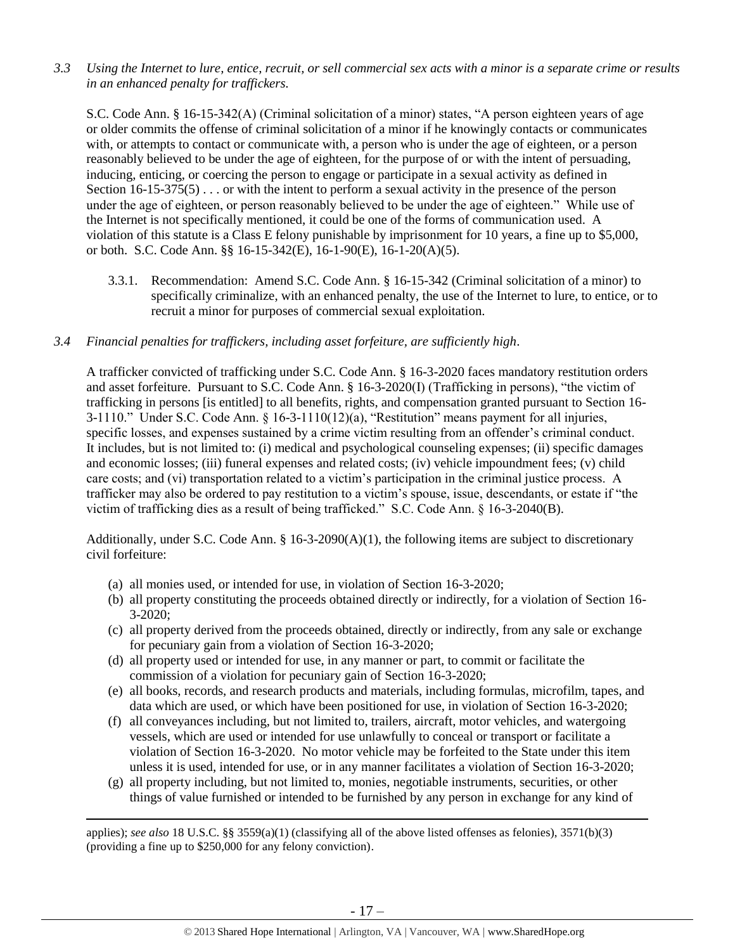*3.3 Using the Internet to lure, entice, recruit, or sell commercial sex acts with a minor is a separate crime or results in an enhanced penalty for traffickers.* 

S.C. Code Ann. § 16-15-342(A) (Criminal solicitation of a minor) states, "A person eighteen years of age or older commits the offense of criminal solicitation of a minor if he knowingly contacts or communicates with, or attempts to contact or communicate with, a person who is under the age of eighteen, or a person reasonably believed to be under the age of eighteen, for the purpose of or with the intent of persuading, inducing, enticing, or coercing the person to engage or participate in a sexual activity as defined in Section 16-15-375(5)... or with the intent to perform a sexual activity in the presence of the person under the age of eighteen, or person reasonably believed to be under the age of eighteen." While use of the Internet is not specifically mentioned, it could be one of the forms of communication used. A violation of this statute is a Class E felony punishable by imprisonment for 10 years, a fine up to \$5,000, or both. S.C. Code Ann. §§ 16-15-342(E), 16-1-90(E), 16-1-20(A)(5).

3.3.1. Recommendation: Amend S.C. Code Ann. § 16-15-342 (Criminal solicitation of a minor) to specifically criminalize, with an enhanced penalty, the use of the Internet to lure, to entice, or to recruit a minor for purposes of commercial sexual exploitation.

#### *3.4 Financial penalties for traffickers, including asset forfeiture, are sufficiently high*.

A trafficker convicted of trafficking under S.C. Code Ann. § 16-3-2020 faces mandatory restitution orders and asset forfeiture. Pursuant to S.C. Code Ann. § 16-3-2020(I) (Trafficking in persons), "the victim of trafficking in persons [is entitled] to all benefits, rights, and compensation granted pursuant to Section 16- 3-1110." Under S.C. Code Ann. § 16-3-1110(12)(a), "Restitution" means payment for all injuries, specific losses, and expenses sustained by a crime victim resulting from an offender's criminal conduct. It includes, but is not limited to: (i) medical and psychological counseling expenses; (ii) specific damages and economic losses; (iii) funeral expenses and related costs; (iv) vehicle impoundment fees; (v) child care costs; and (vi) transportation related to a victim's participation in the criminal justice process. A trafficker may also be ordered to pay restitution to a victim's spouse, issue, descendants, or estate if "the victim of trafficking dies as a result of being trafficked." S.C. Code Ann. § 16-3-2040(B).

Additionally, under S.C. Code Ann.  $\S$  16-3-2090(A)(1), the following items are subject to discretionary civil forfeiture:

(a) all monies used, or intended for use, in violation of Section 16-3-2020;

 $\overline{\phantom{a}}$ 

- (b) all property constituting the proceeds obtained directly or indirectly, for a violation of Section 16- 3-2020;
- (c) all property derived from the proceeds obtained, directly or indirectly, from any sale or exchange for pecuniary gain from a violation of Section 16-3-2020;
- (d) all property used or intended for use, in any manner or part, to commit or facilitate the commission of a violation for pecuniary gain of Section 16-3-2020;
- (e) all books, records, and research products and materials, including formulas, microfilm, tapes, and data which are used, or which have been positioned for use, in violation of Section 16-3-2020;
- (f) all conveyances including, but not limited to, trailers, aircraft, motor vehicles, and watergoing vessels, which are used or intended for use unlawfully to conceal or transport or facilitate a violation of Section 16-3-2020. No motor vehicle may be forfeited to the State under this item unless it is used, intended for use, or in any manner facilitates a violation of Section 16-3-2020;
- (g) all property including, but not limited to, monies, negotiable instruments, securities, or other things of value furnished or intended to be furnished by any person in exchange for any kind of

applies); *see also* 18 U.S.C. §§ 3559(a)(1) (classifying all of the above listed offenses as felonies), 3571(b)(3) (providing a fine up to \$250,000 for any felony conviction).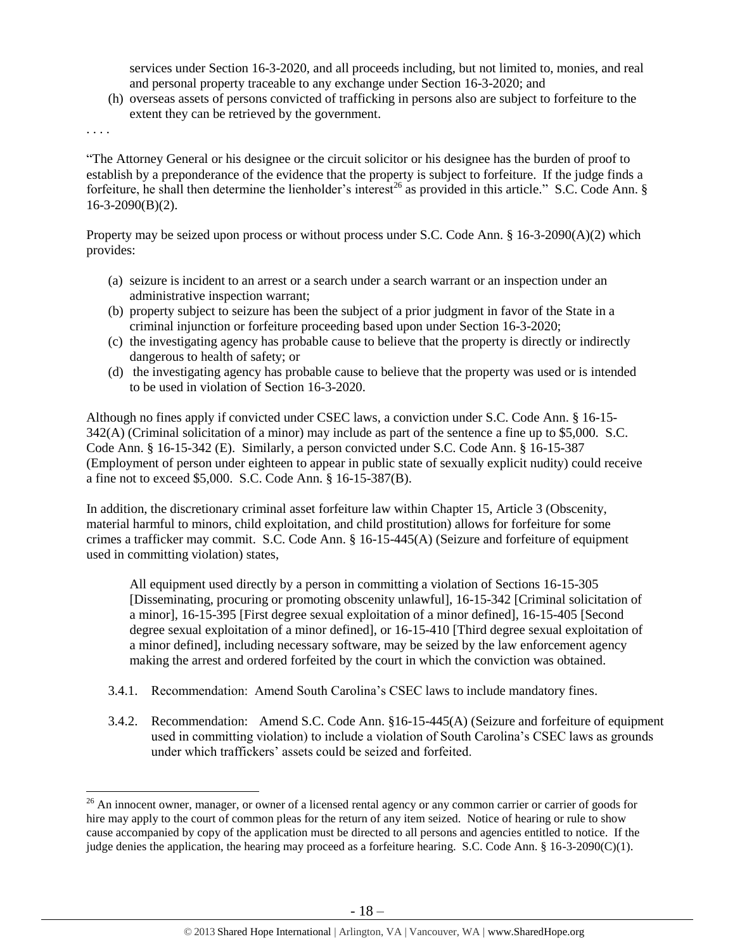services under Section 16-3-2020, and all proceeds including, but not limited to, monies, and real and personal property traceable to any exchange under Section 16-3-2020; and

(h) overseas assets of persons convicted of trafficking in persons also are subject to forfeiture to the extent they can be retrieved by the government.

. . . .

 $\overline{\phantom{a}}$ 

"The Attorney General or his designee or the circuit solicitor or his designee has the burden of proof to establish by a preponderance of the evidence that the property is subject to forfeiture. If the judge finds a forfeiture, he shall then determine the lienholder's interest<sup>26</sup> as provided in this article." S.C. Code Ann. §  $16-3-2090(B)(2)$ .

Property may be seized upon process or without process under S.C. Code Ann. § 16-3-2090(A)(2) which provides:

- (a) seizure is incident to an arrest or a search under a search warrant or an inspection under an administrative inspection warrant;
- (b) property subject to seizure has been the subject of a prior judgment in favor of the State in a criminal injunction or forfeiture proceeding based upon under Section 16-3-2020;
- (c) the investigating agency has probable cause to believe that the property is directly or indirectly dangerous to health of safety; or
- (d) the investigating agency has probable cause to believe that the property was used or is intended to be used in violation of Section 16-3-2020.

Although no fines apply if convicted under CSEC laws, a conviction under S.C. Code Ann. § 16-15- 342(A) (Criminal solicitation of a minor) may include as part of the sentence a fine up to \$5,000. S.C. Code Ann. § 16-15-342 (E). Similarly, a person convicted under S.C. Code Ann. § 16-15-387 (Employment of person under eighteen to appear in public state of sexually explicit nudity) could receive a fine not to exceed \$5,000. S.C. Code Ann. § 16-15-387(B).

In addition, the discretionary criminal asset forfeiture law within Chapter 15, Article 3 (Obscenity, material harmful to minors, child exploitation, and child prostitution) allows for forfeiture for some crimes a trafficker may commit. S.C. Code Ann. § 16-15-445(A) (Seizure and forfeiture of equipment used in committing violation) states,

All equipment used directly by a person in committing a violation of Sections 16-15-305 [Disseminating, procuring or promoting obscenity unlawful], 16-15-342 [Criminal solicitation of a minor], 16-15-395 [First degree sexual exploitation of a minor defined], 16-15-405 [Second degree sexual exploitation of a minor defined], or 16-15-410 [Third degree sexual exploitation of a minor defined], including necessary software, may be seized by the law enforcement agency making the arrest and ordered forfeited by the court in which the conviction was obtained.

- 3.4.1. Recommendation: Amend South Carolina's CSEC laws to include mandatory fines.
- 3.4.2. Recommendation: Amend S.C. Code Ann. §16-15-445(A) (Seizure and forfeiture of equipment used in committing violation) to include a violation of South Carolina's CSEC laws as grounds under which traffickers' assets could be seized and forfeited.

 $^{26}$  An innocent owner, manager, or owner of a licensed rental agency or any common carrier or carrier of goods for hire may apply to the court of common pleas for the return of any item seized. Notice of hearing or rule to show cause accompanied by copy of the application must be directed to all persons and agencies entitled to notice. If the judge denies the application, the hearing may proceed as a forfeiture hearing. S.C. Code Ann. § 16-3-2090(C)(1).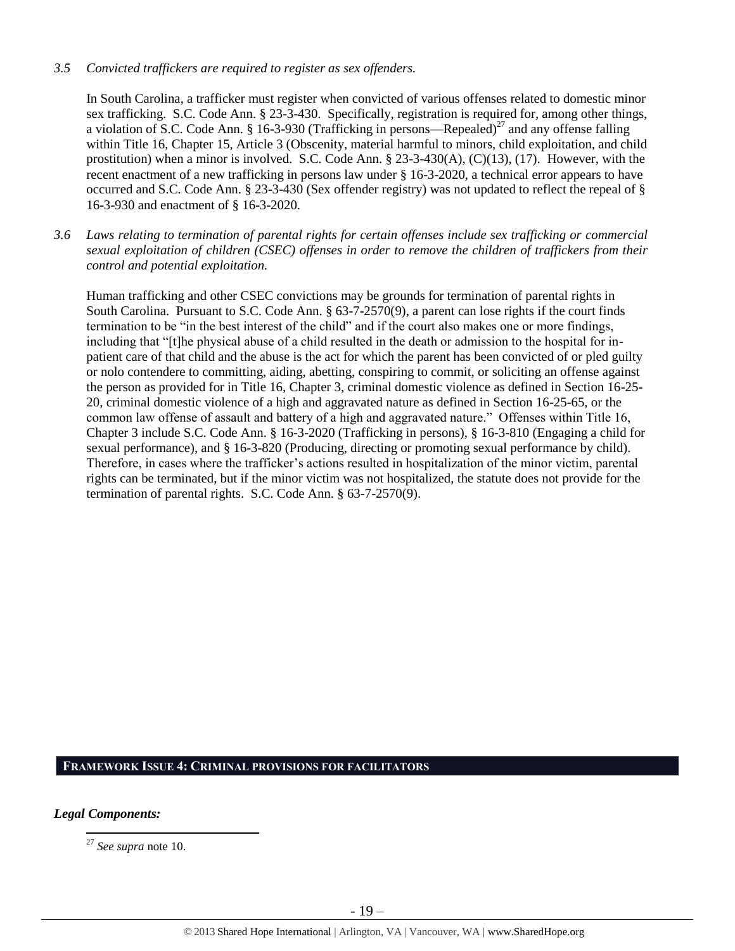#### *3.5 Convicted traffickers are required to register as sex offenders.*

In South Carolina, a trafficker must register when convicted of various offenses related to domestic minor sex trafficking. S.C. Code Ann. § 23-3-430. Specifically, registration is required for, among other things, a violation of S.C. Code Ann. § 16-3-930 (Trafficking in persons—Repealed)<sup>27</sup> and any offense falling within Title 16, Chapter 15, Article 3 (Obscenity, material harmful to minors, child exploitation, and child prostitution) when a minor is involved. S.C. Code Ann. § 23-3-430(A), (C)(13), (17). However, with the recent enactment of a new trafficking in persons law under § 16-3-2020, a technical error appears to have occurred and S.C. Code Ann. § 23-3-430 (Sex offender registry) was not updated to reflect the repeal of § 16-3-930 and enactment of § 16-3-2020.

*3.6 Laws relating to termination of parental rights for certain offenses include sex trafficking or commercial sexual exploitation of children (CSEC) offenses in order to remove the children of traffickers from their control and potential exploitation.* 

Human trafficking and other CSEC convictions may be grounds for termination of parental rights in South Carolina. Pursuant to S.C. Code Ann. § 63-7-2570(9), a parent can lose rights if the court finds termination to be "in the best interest of the child" and if the court also makes one or more findings, including that "[t]he physical abuse of a child resulted in the death or admission to the hospital for inpatient care of that child and the abuse is the act for which the parent has been convicted of or pled guilty or nolo contendere to committing, aiding, abetting, conspiring to commit, or soliciting an offense against the person as provided for in Title 16, Chapter 3, criminal domestic violence as defined in Section 16-25- 20, criminal domestic violence of a high and aggravated nature as defined in Section 16-25-65, or the common law offense of assault and battery of a high and aggravated nature." Offenses within Title 16, Chapter 3 include S.C. Code Ann. § 16-3-2020 (Trafficking in persons), § 16-3-810 (Engaging a child for sexual performance), and § 16-3-820 (Producing, directing or promoting sexual performance by child). Therefore, in cases where the trafficker's actions resulted in hospitalization of the minor victim, parental rights can be terminated, but if the minor victim was not hospitalized, the statute does not provide for the termination of parental rights. S.C. Code Ann. § 63-7-2570(9).

## **FRAMEWORK ISSUE 4: CRIMINAL PROVISIONS FOR FACILITATORS**

*Legal Components:* 

 $\overline{\phantom{a}}$ <sup>27</sup> *See supra* note [10.](#page-5-0)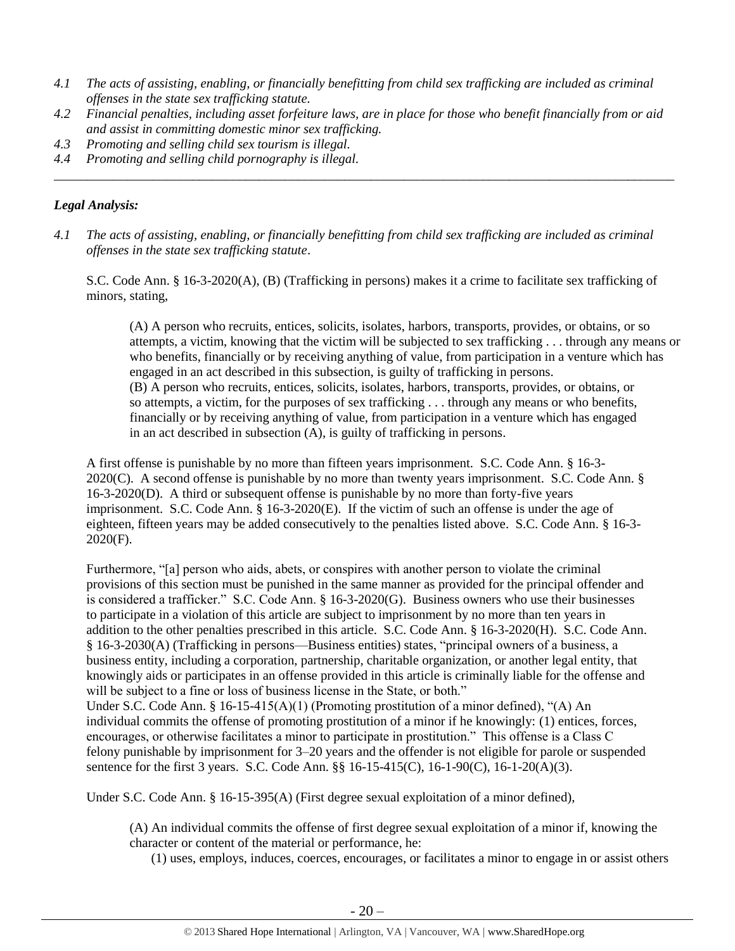- *4.1 The acts of assisting, enabling, or financially benefitting from child sex trafficking are included as criminal offenses in the state sex trafficking statute.*
- *4.2 Financial penalties, including asset forfeiture laws, are in place for those who benefit financially from or aid and assist in committing domestic minor sex trafficking.*

*\_\_\_\_\_\_\_\_\_\_\_\_\_\_\_\_\_\_\_\_\_\_\_\_\_\_\_\_\_\_\_\_\_\_\_\_\_\_\_\_\_\_\_\_\_\_\_\_\_\_\_\_\_\_\_\_\_\_\_\_\_\_\_\_\_\_\_\_\_\_\_\_\_\_\_\_\_\_\_\_\_\_\_\_\_\_\_\_\_\_\_\_\_\_*

- *4.3 Promoting and selling child sex tourism is illegal.*
- *4.4 Promoting and selling child pornography is illegal.*

## *Legal Analysis:*

*4.1 The acts of assisting, enabling, or financially benefitting from child sex trafficking are included as criminal offenses in the state sex trafficking statute*.

S.C. Code Ann. § 16-3-2020(A), (B) (Trafficking in persons) makes it a crime to facilitate sex trafficking of minors, stating,

(A) A person who recruits, entices, solicits, isolates, harbors, transports, provides, or obtains, or so attempts, a victim, knowing that the victim will be subjected to sex trafficking . . . through any means or who benefits, financially or by receiving anything of value, from participation in a venture which has engaged in an act described in this subsection, is guilty of trafficking in persons. (B) A person who recruits, entices, solicits, isolates, harbors, transports, provides, or obtains, or so attempts, a victim, for the purposes of sex trafficking . . . through any means or who benefits, financially or by receiving anything of value, from participation in a venture which has engaged in an act described in subsection (A), is guilty of trafficking in persons.

A first offense is punishable by no more than fifteen years imprisonment. S.C. Code Ann. § 16-3- 2020(C). A second offense is punishable by no more than twenty years imprisonment. S.C. Code Ann. § 16-3-2020(D). A third or subsequent offense is punishable by no more than forty-five years imprisonment. S.C. Code Ann. § 16-3-2020(E). If the victim of such an offense is under the age of eighteen, fifteen years may be added consecutively to the penalties listed above. S.C. Code Ann. § 16-3- 2020(F).

Furthermore, "[a] person who aids, abets, or conspires with another person to violate the criminal provisions of this section must be punished in the same manner as provided for the principal offender and is considered a trafficker." S.C. Code Ann. § 16-3-2020(G). Business owners who use their businesses to participate in a violation of this article are subject to imprisonment by no more than ten years in addition to the other penalties prescribed in this article. S.C. Code Ann. § 16-3-2020(H). S.C. Code Ann. § 16-3-2030(A) (Trafficking in persons—Business entities) states, "principal owners of a business, a business entity, including a corporation, partnership, charitable organization, or another legal entity, that knowingly aids or participates in an offense provided in this article is criminally liable for the offense and will be subject to a fine or loss of business license in the State, or both."

Under S.C. Code Ann. §  $16-15-415(A)(1)$  (Promoting prostitution of a minor defined), "(A) An individual commits the offense of promoting prostitution of a minor if he knowingly: (1) entices, forces, encourages, or otherwise facilitates a minor to participate in prostitution." This offense is a Class C felony punishable by imprisonment for 3–20 years and the offender is not eligible for parole or suspended sentence for the first 3 years. S.C. Code Ann. §§ 16-15-415(C), 16-1-90(C), 16-1-20(A)(3).

Under S.C. Code Ann. § 16-15-395(A) (First degree sexual exploitation of a minor defined),

(A) An individual commits the offense of first degree sexual exploitation of a minor if, knowing the character or content of the material or performance, he:

(1) uses, employs, induces, coerces, encourages, or facilitates a minor to engage in or assist others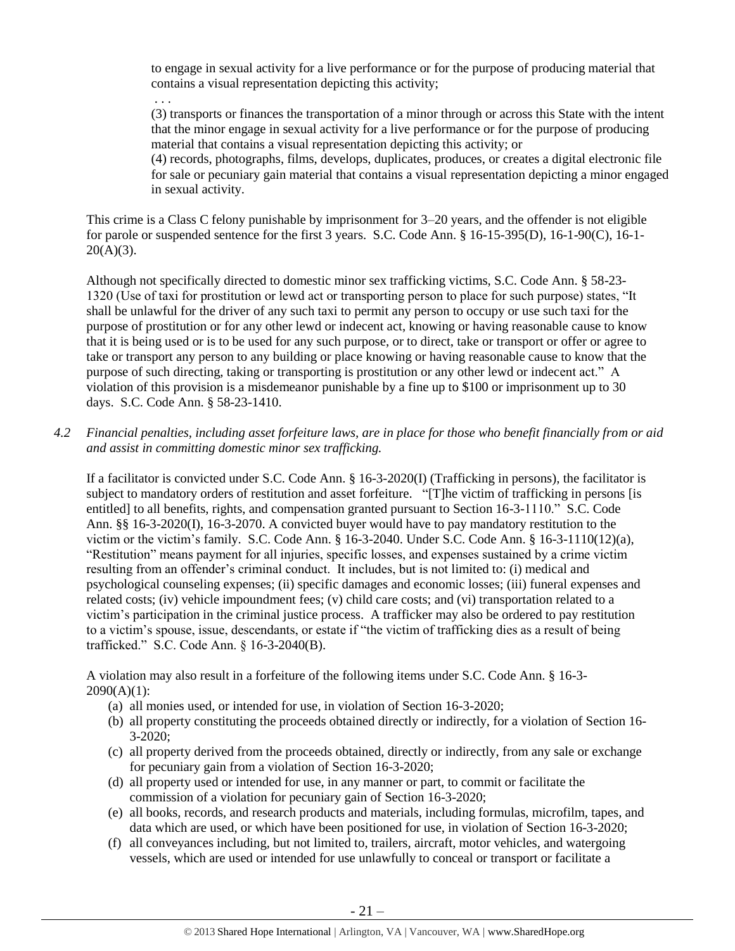to engage in sexual activity for a live performance or for the purpose of producing material that contains a visual representation depicting this activity;

. . . (3) transports or finances the transportation of a minor through or across this State with the intent that the minor engage in sexual activity for a live performance or for the purpose of producing material that contains a visual representation depicting this activity; or

(4) records, photographs, films, develops, duplicates, produces, or creates a digital electronic file for sale or pecuniary gain material that contains a visual representation depicting a minor engaged in sexual activity.

This crime is a Class C felony punishable by imprisonment for 3–20 years, and the offender is not eligible for parole or suspended sentence for the first 3 years. S.C. Code Ann. § 16-15-395(D), 16-1-90(C), 16-1-  $20(A)(3)$ .

Although not specifically directed to domestic minor sex trafficking victims, S.C. Code Ann. § 58-23- 1320 (Use of taxi for prostitution or lewd act or transporting person to place for such purpose) states, "It shall be unlawful for the driver of any such taxi to permit any person to occupy or use such taxi for the purpose of prostitution or for any other lewd or indecent act, knowing or having reasonable cause to know that it is being used or is to be used for any such purpose, or to direct, take or transport or offer or agree to take or transport any person to any building or place knowing or having reasonable cause to know that the purpose of such directing, taking or transporting is prostitution or any other lewd or indecent act." A violation of this provision is a misdemeanor punishable by a fine up to \$100 or imprisonment up to 30 days. S.C. Code Ann. § 58-23-1410.

*4.2 Financial penalties, including asset forfeiture laws, are in place for those who benefit financially from or aid and assist in committing domestic minor sex trafficking.*

If a facilitator is convicted under S.C. Code Ann. § 16-3-2020(I) (Trafficking in persons), the facilitator is subject to mandatory orders of restitution and asset forfeiture. "[T]he victim of trafficking in persons [is entitled] to all benefits, rights, and compensation granted pursuant to Section 16-3-1110." S.C. Code Ann. §§ 16-3-2020(I), 16-3-2070. A convicted buyer would have to pay mandatory restitution to the victim or the victim's family. S.C. Code Ann. § 16-3-2040. Under S.C. Code Ann. § 16-3-1110(12)(a), "Restitution" means payment for all injuries, specific losses, and expenses sustained by a crime victim resulting from an offender's criminal conduct. It includes, but is not limited to: (i) medical and psychological counseling expenses; (ii) specific damages and economic losses; (iii) funeral expenses and related costs; (iv) vehicle impoundment fees; (v) child care costs; and (vi) transportation related to a victim's participation in the criminal justice process. A trafficker may also be ordered to pay restitution to a victim's spouse, issue, descendants, or estate if "the victim of trafficking dies as a result of being trafficked." S.C. Code Ann. § 16-3-2040(B).

A violation may also result in a forfeiture of the following items under S.C. Code Ann. § 16-3-  $2090(A)(1)$ :

- (a) all monies used, or intended for use, in violation of Section 16-3-2020;
- (b) all property constituting the proceeds obtained directly or indirectly, for a violation of Section 16- 3-2020;
- (c) all property derived from the proceeds obtained, directly or indirectly, from any sale or exchange for pecuniary gain from a violation of Section 16-3-2020;
- (d) all property used or intended for use, in any manner or part, to commit or facilitate the commission of a violation for pecuniary gain of Section 16-3-2020;
- (e) all books, records, and research products and materials, including formulas, microfilm, tapes, and data which are used, or which have been positioned for use, in violation of Section 16-3-2020;
- (f) all conveyances including, but not limited to, trailers, aircraft, motor vehicles, and watergoing vessels, which are used or intended for use unlawfully to conceal or transport or facilitate a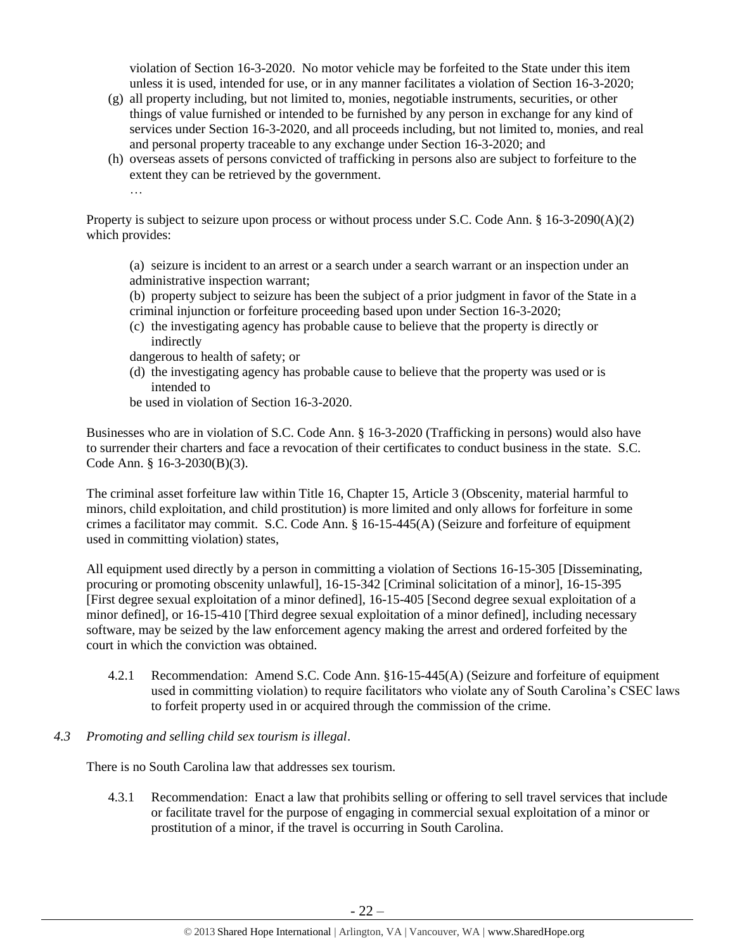violation of Section 16-3-2020. No motor vehicle may be forfeited to the State under this item unless it is used, intended for use, or in any manner facilitates a violation of Section 16-3-2020;

- (g) all property including, but not limited to, monies, negotiable instruments, securities, or other things of value furnished or intended to be furnished by any person in exchange for any kind of services under Section 16-3-2020, and all proceeds including, but not limited to, monies, and real and personal property traceable to any exchange under Section 16-3-2020; and
- (h) overseas assets of persons convicted of trafficking in persons also are subject to forfeiture to the extent they can be retrieved by the government.

…

Property is subject to seizure upon process or without process under S.C. Code Ann. § 16-3-2090(A)(2) which provides:

- (a) seizure is incident to an arrest or a search under a search warrant or an inspection under an administrative inspection warrant;
- (b) property subject to seizure has been the subject of a prior judgment in favor of the State in a criminal injunction or forfeiture proceeding based upon under Section 16-3-2020;
- (c) the investigating agency has probable cause to believe that the property is directly or indirectly
- dangerous to health of safety; or
- (d) the investigating agency has probable cause to believe that the property was used or is intended to
- be used in violation of Section 16-3-2020.

Businesses who are in violation of S.C. Code Ann. § 16-3-2020 (Trafficking in persons) would also have to surrender their charters and face a revocation of their certificates to conduct business in the state. S.C. Code Ann. § 16-3-2030(B)(3).

The criminal asset forfeiture law within Title 16, Chapter 15, Article 3 (Obscenity, material harmful to minors, child exploitation, and child prostitution) is more limited and only allows for forfeiture in some crimes a facilitator may commit. S.C. Code Ann. § 16-15-445(A) (Seizure and forfeiture of equipment used in committing violation) states,

All equipment used directly by a person in committing a violation of Sections 16-15-305 [Disseminating, procuring or promoting obscenity unlawful], 16-15-342 [Criminal solicitation of a minor], 16-15-395 [First degree sexual exploitation of a minor defined], 16-15-405 [Second degree sexual exploitation of a minor defined], or 16-15-410 [Third degree sexual exploitation of a minor defined], including necessary software, may be seized by the law enforcement agency making the arrest and ordered forfeited by the court in which the conviction was obtained.

- 4.2.1 Recommendation: Amend S.C. Code Ann. §16-15-445(A) (Seizure and forfeiture of equipment used in committing violation) to require facilitators who violate any of South Carolina's CSEC laws to forfeit property used in or acquired through the commission of the crime.
- *4.3 Promoting and selling child sex tourism is illegal*.

There is no South Carolina law that addresses sex tourism.

4.3.1 Recommendation: Enact a law that prohibits selling or offering to sell travel services that include or facilitate travel for the purpose of engaging in commercial sexual exploitation of a minor or prostitution of a minor, if the travel is occurring in South Carolina.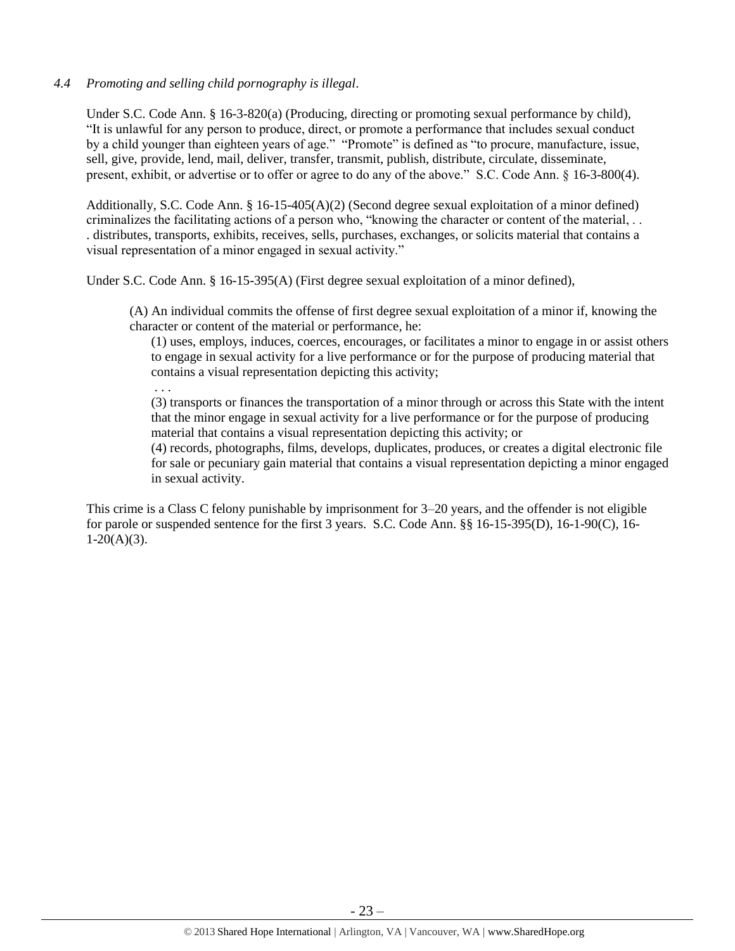#### *4.4 Promoting and selling child pornography is illegal*.

Under S.C. Code Ann. § 16-3-820(a) (Producing, directing or promoting sexual performance by child), "It is unlawful for any person to produce, direct, or promote a performance that includes sexual conduct by a child younger than eighteen years of age." "Promote" is defined as "to procure, manufacture, issue, sell, give, provide, lend, mail, deliver, transfer, transmit, publish, distribute, circulate, disseminate, present, exhibit, or advertise or to offer or agree to do any of the above." S.C. Code Ann. § 16-3-800(4).

Additionally, S.C. Code Ann. § 16-15-405(A)(2) (Second degree sexual exploitation of a minor defined) criminalizes the facilitating actions of a person who, "knowing the character or content of the material, . . . distributes, transports, exhibits, receives, sells, purchases, exchanges, or solicits material that contains a visual representation of a minor engaged in sexual activity."

Under S.C. Code Ann. § 16-15-395(A) (First degree sexual exploitation of a minor defined),

(A) An individual commits the offense of first degree sexual exploitation of a minor if, knowing the character or content of the material or performance, he:

(1) uses, employs, induces, coerces, encourages, or facilitates a minor to engage in or assist others to engage in sexual activity for a live performance or for the purpose of producing material that contains a visual representation depicting this activity; . . .

(3) transports or finances the transportation of a minor through or across this State with the intent that the minor engage in sexual activity for a live performance or for the purpose of producing material that contains a visual representation depicting this activity; or

(4) records, photographs, films, develops, duplicates, produces, or creates a digital electronic file for sale or pecuniary gain material that contains a visual representation depicting a minor engaged in sexual activity.

This crime is a Class C felony punishable by imprisonment for 3–20 years, and the offender is not eligible for parole or suspended sentence for the first 3 years. S.C. Code Ann. §§ 16-15-395(D), 16-1-90(C), 16-  $1-20(A)(3)$ .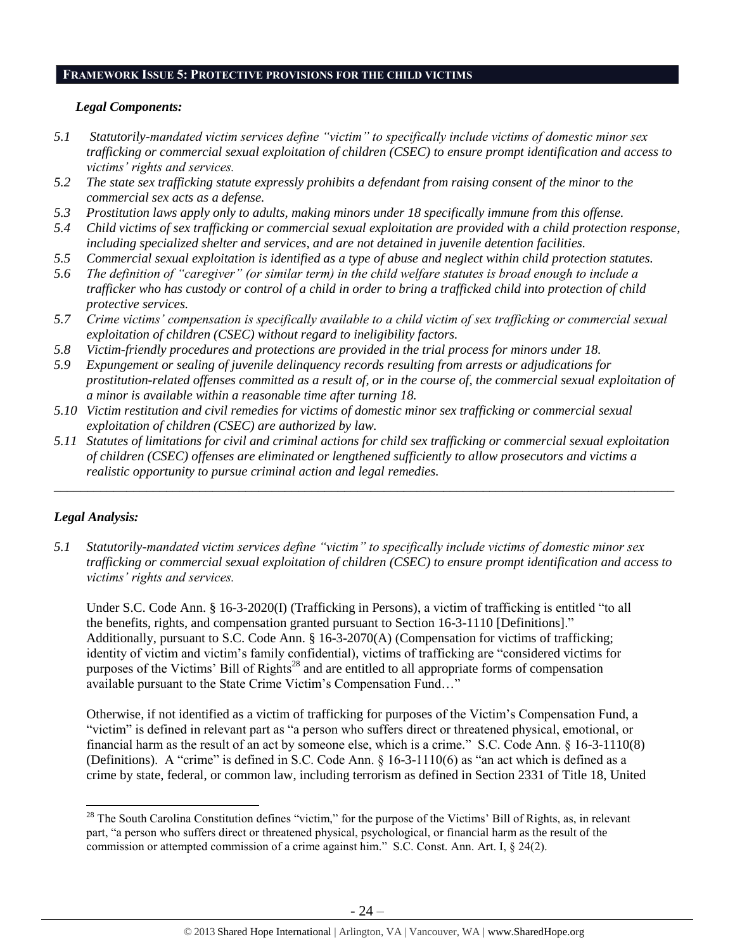#### **FRAMEWORK ISSUE 5: PROTECTIVE PROVISIONS FOR THE CHILD VICTIMS**

#### *Legal Components:*

- *5.1 Statutorily-mandated victim services define "victim" to specifically include victims of domestic minor sex trafficking or commercial sexual exploitation of children (CSEC) to ensure prompt identification and access to victims' rights and services.*
- *5.2 The state sex trafficking statute expressly prohibits a defendant from raising consent of the minor to the commercial sex acts as a defense.*
- *5.3 Prostitution laws apply only to adults, making minors under 18 specifically immune from this offense.*
- *5.4 Child victims of sex trafficking or commercial sexual exploitation are provided with a child protection response, including specialized shelter and services, and are not detained in juvenile detention facilities.*
- *5.5 Commercial sexual exploitation is identified as a type of abuse and neglect within child protection statutes.*
- *5.6 The definition of "caregiver" (or similar term) in the child welfare statutes is broad enough to include a trafficker who has custody or control of a child in order to bring a trafficked child into protection of child protective services.*
- *5.7 Crime victims' compensation is specifically available to a child victim of sex trafficking or commercial sexual exploitation of children (CSEC) without regard to ineligibility factors.*
- *5.8 Victim-friendly procedures and protections are provided in the trial process for minors under 18.*
- *5.9 Expungement or sealing of juvenile delinquency records resulting from arrests or adjudications for prostitution-related offenses committed as a result of, or in the course of, the commercial sexual exploitation of a minor is available within a reasonable time after turning 18.*
- *5.10 Victim restitution and civil remedies for victims of domestic minor sex trafficking or commercial sexual exploitation of children (CSEC) are authorized by law.*
- *5.11 Statutes of limitations for civil and criminal actions for child sex trafficking or commercial sexual exploitation of children (CSEC) offenses are eliminated or lengthened sufficiently to allow prosecutors and victims a realistic opportunity to pursue criminal action and legal remedies.*

*\_\_\_\_\_\_\_\_\_\_\_\_\_\_\_\_\_\_\_\_\_\_\_\_\_\_\_\_\_\_\_\_\_\_\_\_\_\_\_\_\_\_\_\_\_\_\_\_\_\_\_\_\_\_\_\_\_\_\_\_\_\_\_\_\_\_\_\_\_\_\_\_\_\_\_\_\_\_\_\_\_\_\_\_\_\_\_\_\_\_\_\_\_\_*

## *Legal Analysis:*

 $\overline{a}$ 

*5.1 Statutorily-mandated victim services define "victim" to specifically include victims of domestic minor sex trafficking or commercial sexual exploitation of children (CSEC) to ensure prompt identification and access to victims' rights and services.* 

Under S.C. Code Ann. § 16-3-2020(I) (Trafficking in Persons), a victim of trafficking is entitled "to all the benefits, rights, and compensation granted pursuant to Section 16-3-1110 [Definitions]." Additionally, pursuant to S.C. Code Ann. § 16-3-2070(A) (Compensation for victims of trafficking; identity of victim and victim's family confidential), victims of trafficking are "considered victims for purposes of the Victims' Bill of Rights<sup>28</sup> and are entitled to all appropriate forms of compensation available pursuant to the State Crime Victim's Compensation Fund…"

Otherwise, if not identified as a victim of trafficking for purposes of the Victim's Compensation Fund, a "victim" is defined in relevant part as "a person who suffers direct or threatened physical, emotional, or financial harm as the result of an act by someone else, which is a crime." S.C. Code Ann. § 16-3-1110(8) (Definitions). A "crime" is defined in S.C. Code Ann. § 16-3-1110(6) as "an act which is defined as a crime by state, federal, or common law, including terrorism as defined in Section 2331 of Title 18, United

 $28$  The South Carolina Constitution defines "victim," for the purpose of the Victims' Bill of Rights, as, in relevant part, "a person who suffers direct or threatened physical, psychological, or financial harm as the result of the commission or attempted commission of a crime against him." S.C. Const. Ann. Art. I, § 24(2).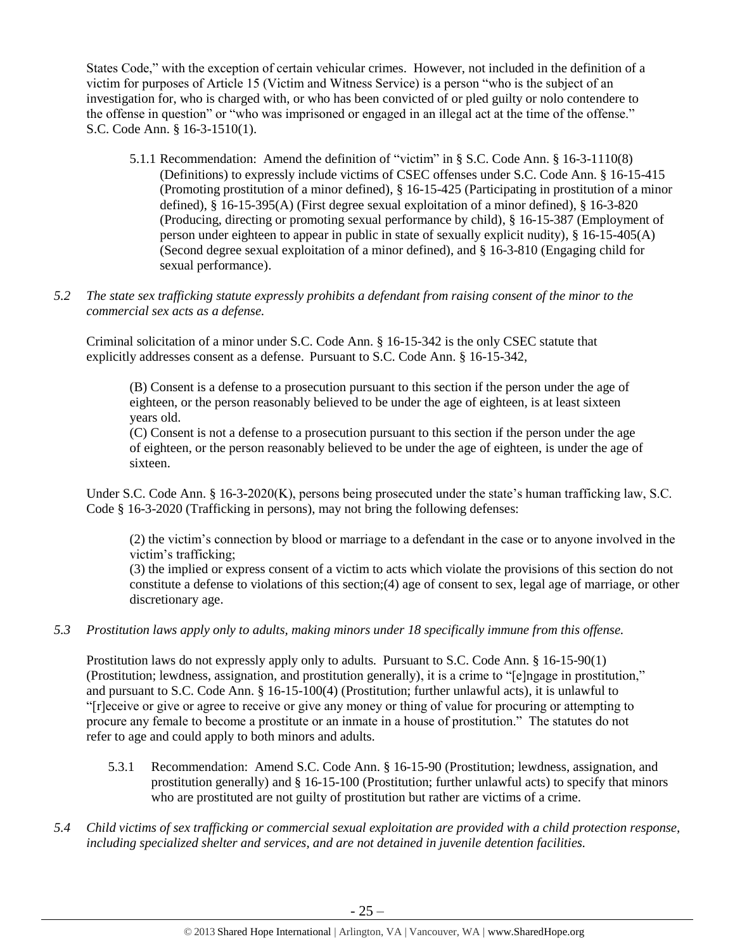States Code," with the exception of certain vehicular crimes. However, not included in the definition of a victim for purposes of Article 15 (Victim and Witness Service) is a person "who is the subject of an investigation for, who is charged with, or who has been convicted of or pled guilty or nolo contendere to the offense in question" or "who was imprisoned or engaged in an illegal act at the time of the offense." S.C. Code Ann. § 16-3-1510(1).

- 5.1.1 Recommendation: Amend the definition of "victim" in § S.C. Code Ann. § 16-3-1110(8) (Definitions) to expressly include victims of CSEC offenses under S.C. Code Ann. § 16-15-415 (Promoting prostitution of a minor defined), § 16-15-425 (Participating in prostitution of a minor defined), § 16-15-395(A) (First degree sexual exploitation of a minor defined), § 16-3-820 (Producing, directing or promoting sexual performance by child), § 16-15-387 (Employment of person under eighteen to appear in public in state of sexually explicit nudity), § 16-15-405(A) (Second degree sexual exploitation of a minor defined), and § 16-3-810 (Engaging child for sexual performance).
- *5.2 The state sex trafficking statute expressly prohibits a defendant from raising consent of the minor to the commercial sex acts as a defense.*

Criminal solicitation of a minor under S.C. Code Ann. § 16-15-342 is the only CSEC statute that explicitly addresses consent as a defense. Pursuant to S.C. Code Ann. § 16-15-342,

(B) Consent is a defense to a prosecution pursuant to this section if the person under the age of eighteen, or the person reasonably believed to be under the age of eighteen, is at least sixteen years old.

(C) Consent is not a defense to a prosecution pursuant to this section if the person under the age of eighteen, or the person reasonably believed to be under the age of eighteen, is under the age of sixteen.

Under S.C. Code Ann. § 16-3-2020(K), persons being prosecuted under the state's human trafficking law, S.C. Code § 16-3-2020 (Trafficking in persons), may not bring the following defenses:

(2) the victim's connection by blood or marriage to a defendant in the case or to anyone involved in the victim's trafficking;

(3) the implied or express consent of a victim to acts which violate the provisions of this section do not constitute a defense to violations of this section;(4) age of consent to sex, legal age of marriage, or other discretionary age.

## *5.3 Prostitution laws apply only to adults, making minors under 18 specifically immune from this offense.*

Prostitution laws do not expressly apply only to adults. Pursuant to S.C. Code Ann. § 16-15-90(1) (Prostitution; lewdness, assignation, and prostitution generally), it is a crime to "[e]ngage in prostitution," and pursuant to S.C. Code Ann. § 16-15-100(4) (Prostitution; further unlawful acts), it is unlawful to "[r]eceive or give or agree to receive or give any money or thing of value for procuring or attempting to procure any female to become a prostitute or an inmate in a house of prostitution." The statutes do not refer to age and could apply to both minors and adults.

- 5.3.1 Recommendation: Amend S.C. Code Ann. § 16-15-90 (Prostitution; lewdness, assignation, and prostitution generally) and § 16-15-100 (Prostitution; further unlawful acts) to specify that minors who are prostituted are not guilty of prostitution but rather are victims of a crime.
- *5.4 Child victims of sex trafficking or commercial sexual exploitation are provided with a child protection response, including specialized shelter and services, and are not detained in juvenile detention facilities.*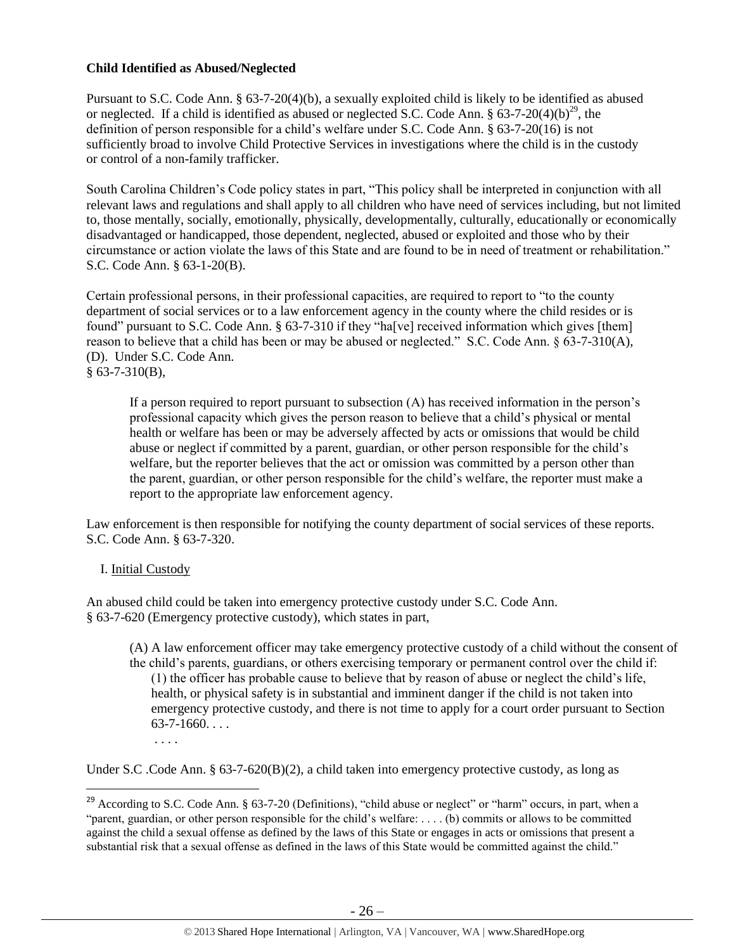### **Child Identified as Abused/Neglected**

Pursuant to S.C. Code Ann. § 63-7-20(4)(b), a sexually exploited child is likely to be identified as abused or neglected. If a child is identified as abused or neglected S.C. Code Ann.  $\S$  63-7-20(4)(b)<sup>29</sup>, the definition of person responsible for a child's welfare under S.C. Code Ann. § 63-7-20(16) is not sufficiently broad to involve Child Protective Services in investigations where the child is in the custody or control of a non-family trafficker.

South Carolina Children's Code policy states in part, "This policy shall be interpreted in conjunction with all relevant laws and regulations and shall apply to all children who have need of services including, but not limited to, those mentally, socially, emotionally, physically, developmentally, culturally, educationally or economically disadvantaged or handicapped, those dependent, neglected, abused or exploited and those who by their circumstance or action violate the laws of this State and are found to be in need of treatment or rehabilitation." S.C. Code Ann. § 63-1-20(B).

Certain professional persons, in their professional capacities, are required to report to "to the county department of social services or to a law enforcement agency in the county where the child resides or is found" pursuant to S.C. Code Ann. § 63-7-310 if they "ha<sup>[</sup>ve] received information which gives [them] reason to believe that a child has been or may be abused or neglected." S.C. Code Ann. § 63-7-310(A), (D). Under S.C. Code Ann.  $§$  63-7-310(B),

If a person required to report pursuant to subsection (A) has received information in the person's professional capacity which gives the person reason to believe that a child's physical or mental health or welfare has been or may be adversely affected by acts or omissions that would be child abuse or neglect if committed by a parent, guardian, or other person responsible for the child's welfare, but the reporter believes that the act or omission was committed by a person other than the parent, guardian, or other person responsible for the child's welfare, the reporter must make a report to the appropriate law enforcement agency.

Law enforcement is then responsible for notifying the county department of social services of these reports. S.C. Code Ann. § 63-7-320.

#### I. Initial Custody

l

An abused child could be taken into emergency protective custody under S.C. Code Ann. § 63-7-620 (Emergency protective custody), which states in part,

(A) A law enforcement officer may take emergency protective custody of a child without the consent of the child's parents, guardians, or others exercising temporary or permanent control over the child if: (1) the officer has probable cause to believe that by reason of abuse or neglect the child's life, health, or physical safety is in substantial and imminent danger if the child is not taken into emergency protective custody, and there is not time to apply for a court order pursuant to Section  $63-7-1660...$ . . . .

Under S.C. Code Ann. § 63-7-620(B)(2), a child taken into emergency protective custody, as long as

<sup>&</sup>lt;sup>29</sup> According to S.C. Code Ann. § 63-7-20 (Definitions), "child abuse or neglect" or "harm" occurs, in part, when a "parent, guardian, or other person responsible for the child's welfare: . . . . (b) commits or allows to be committed against the child a sexual offense as defined by the laws of this State or engages in acts or omissions that present a substantial risk that a sexual offense as defined in the laws of this State would be committed against the child."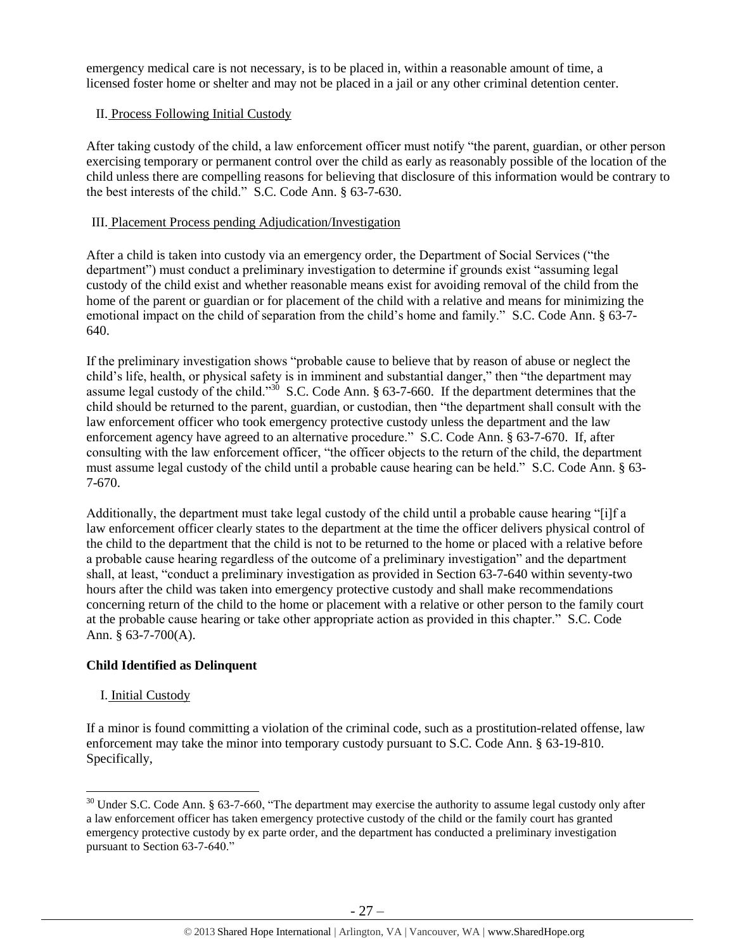emergency medical care is not necessary, is to be placed in, within a reasonable amount of time, a licensed foster home or shelter and may not be placed in a jail or any other criminal detention center.

#### II. Process Following Initial Custody

After taking custody of the child, a law enforcement officer must notify "the parent, guardian, or other person exercising temporary or permanent control over the child as early as reasonably possible of the location of the child unless there are compelling reasons for believing that disclosure of this information would be contrary to the best interests of the child." S.C. Code Ann. § 63-7-630.

### III. Placement Process pending Adjudication/Investigation

After a child is taken into custody via an emergency order, the Department of Social Services ("the department") must conduct a preliminary investigation to determine if grounds exist "assuming legal custody of the child exist and whether reasonable means exist for avoiding removal of the child from the home of the parent or guardian or for placement of the child with a relative and means for minimizing the emotional impact on the child of separation from the child's home and family." S.C. Code Ann. § 63-7- 640.

If the preliminary investigation shows "probable cause to believe that by reason of abuse or neglect the child's life, health, or physical safety is in imminent and substantial danger," then "the department may assume legal custody of the child."<sup>30</sup> S.C. Code Ann. § 63-7-660. If the department determines that the child should be returned to the parent, guardian, or custodian, then "the department shall consult with the law enforcement officer who took emergency protective custody unless the department and the law enforcement agency have agreed to an alternative procedure." S.C. Code Ann. § 63-7-670. If, after consulting with the law enforcement officer, "the officer objects to the return of the child, the department must assume legal custody of the child until a probable cause hearing can be held." S.C. Code Ann. § 63- 7-670.

Additionally, the department must take legal custody of the child until a probable cause hearing "[i]f a law enforcement officer clearly states to the department at the time the officer delivers physical control of the child to the department that the child is not to be returned to the home or placed with a relative before a probable cause hearing regardless of the outcome of a preliminary investigation" and the department shall, at least, "conduct a preliminary investigation as provided in Section 63-7-640 within seventy-two hours after the child was taken into emergency protective custody and shall make recommendations concerning return of the child to the home or placement with a relative or other person to the family court at the probable cause hearing or take other appropriate action as provided in this chapter." S.C. Code Ann. § 63-7-700(A).

## **Child Identified as Delinquent**

#### I. Initial Custody

 $\overline{\phantom{a}}$ 

If a minor is found committing a violation of the criminal code, such as a prostitution-related offense, law enforcement may take the minor into temporary custody pursuant to S.C. Code Ann. § 63-19-810. Specifically,

 $30$  Under S.C. Code Ann. § 63-7-660, "The department may exercise the authority to assume legal custody only after a law enforcement officer has taken emergency protective custody of the child or the family court has granted emergency protective custody by ex parte order, and the department has conducted a preliminary investigation pursuant to Section 63-7-640."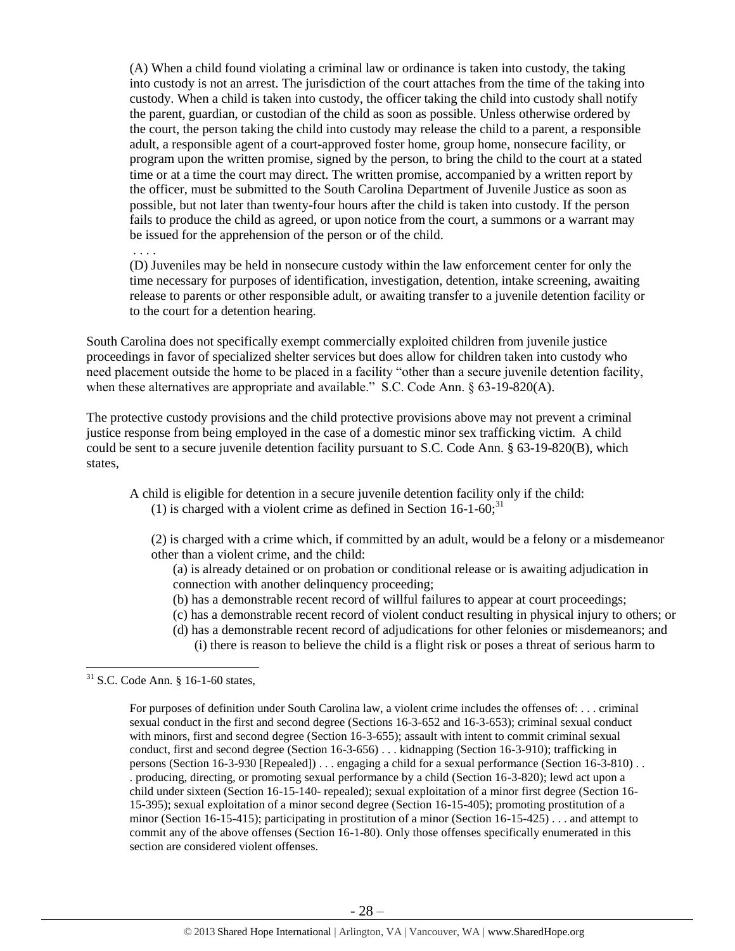(A) When a child found violating a criminal law or ordinance is taken into custody, the taking into custody is not an arrest. The jurisdiction of the court attaches from the time of the taking into custody. When a child is taken into custody, the officer taking the child into custody shall notify the parent, guardian, or custodian of the child as soon as possible. Unless otherwise ordered by the court, the person taking the child into custody may release the child to a parent, a responsible adult, a responsible agent of a court-approved foster home, group home, nonsecure facility, or program upon the written promise, signed by the person, to bring the child to the court at a stated time or at a time the court may direct. The written promise, accompanied by a written report by the officer, must be submitted to the South Carolina Department of Juvenile Justice as soon as possible, but not later than twenty-four hours after the child is taken into custody. If the person fails to produce the child as agreed, or upon notice from the court, a summons or a warrant may be issued for the apprehension of the person or of the child.

. . . .

(D) Juveniles may be held in nonsecure custody within the law enforcement center for only the time necessary for purposes of identification, investigation, detention, intake screening, awaiting release to parents or other responsible adult, or awaiting transfer to a juvenile detention facility or to the court for a detention hearing.

South Carolina does not specifically exempt commercially exploited children from juvenile justice proceedings in favor of specialized shelter services but does allow for children taken into custody who need placement outside the home to be placed in a facility "other than a secure juvenile detention facility, when these alternatives are appropriate and available." S.C. Code Ann. § 63-19-820(A).

The protective custody provisions and the child protective provisions above may not prevent a criminal justice response from being employed in the case of a domestic minor sex trafficking victim. A child could be sent to a secure juvenile detention facility pursuant to S.C. Code Ann. § 63-19-820(B), which states,

A child is eligible for detention in a secure juvenile detention facility only if the child: (1) is charged with a violent crime as defined in Section  $16$ -1-60;<sup>31</sup>

(2) is charged with a crime which, if committed by an adult, would be a felony or a misdemeanor other than a violent crime, and the child:

(a) is already detained or on probation or conditional release or is awaiting adjudication in connection with another delinquency proceeding;

- (b) has a demonstrable recent record of willful failures to appear at court proceedings;
- (c) has a demonstrable recent record of violent conduct resulting in physical injury to others; or
- (d) has a demonstrable recent record of adjudications for other felonies or misdemeanors; and
	- (i) there is reason to believe the child is a flight risk or poses a threat of serious harm to

 $\overline{\phantom{a}}$ 

 $31$  S.C. Code Ann. § 16-1-60 states,

For purposes of definition under South Carolina law, a violent crime includes the offenses of: . . . criminal sexual conduct in the first and second degree (Sections 16-3-652 and 16-3-653); criminal sexual conduct with minors, first and second degree (Section 16-3-655); assault with intent to commit criminal sexual conduct, first and second degree (Section 16-3-656) . . . kidnapping (Section 16-3-910); trafficking in persons (Section 16-3-930 [Repealed]) . . . engaging a child for a sexual performance (Section 16-3-810) . . . producing, directing, or promoting sexual performance by a child (Section 16-3-820); lewd act upon a child under sixteen (Section 16-15-140- repealed); sexual exploitation of a minor first degree (Section 16- 15-395); sexual exploitation of a minor second degree (Section 16-15-405); promoting prostitution of a minor (Section 16-15-415); participating in prostitution of a minor (Section 16-15-425) . . . and attempt to commit any of the above offenses (Section 16-1-80). Only those offenses specifically enumerated in this section are considered violent offenses.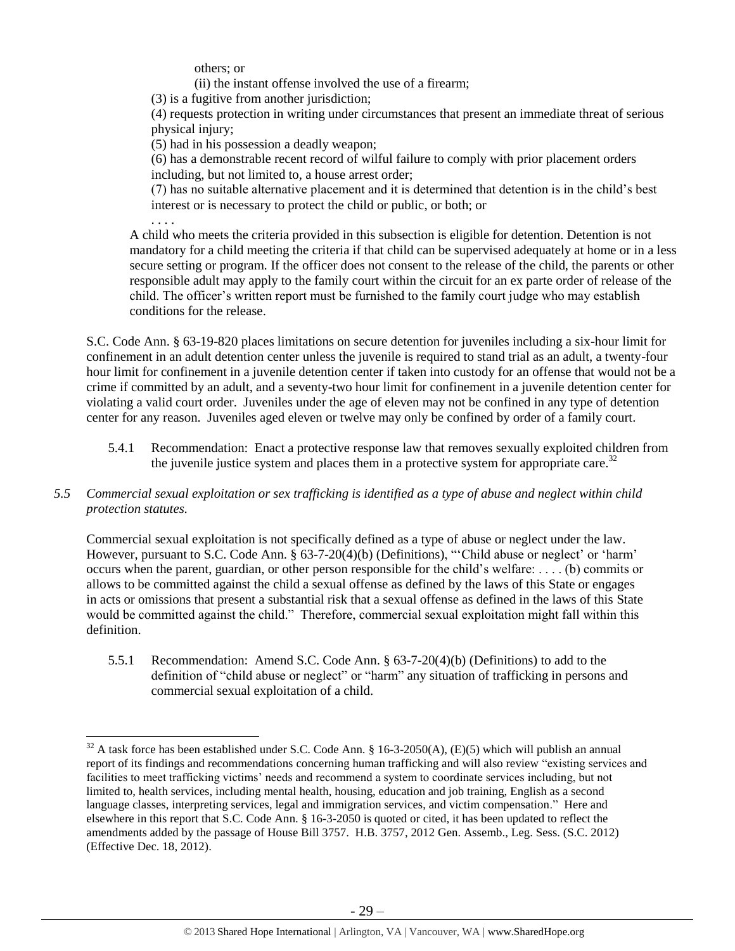others; or

(ii) the instant offense involved the use of a firearm;

(3) is a fugitive from another jurisdiction;

(4) requests protection in writing under circumstances that present an immediate threat of serious physical injury;

(5) had in his possession a deadly weapon;

(6) has a demonstrable recent record of wilful failure to comply with prior placement orders including, but not limited to, a house arrest order;

(7) has no suitable alternative placement and it is determined that detention is in the child's best interest or is necessary to protect the child or public, or both; or

. . . .

 $\overline{\phantom{a}}$ 

A child who meets the criteria provided in this subsection is eligible for detention. Detention is not mandatory for a child meeting the criteria if that child can be supervised adequately at home or in a less secure setting or program. If the officer does not consent to the release of the child, the parents or other responsible adult may apply to the family court within the circuit for an ex parte order of release of the child. The officer's written report must be furnished to the family court judge who may establish conditions for the release.

S.C. Code Ann. § 63-19-820 places limitations on secure detention for juveniles including a six-hour limit for confinement in an adult detention center unless the juvenile is required to stand trial as an adult, a twenty-four hour limit for confinement in a juvenile detention center if taken into custody for an offense that would not be a crime if committed by an adult, and a seventy-two hour limit for confinement in a juvenile detention center for violating a valid court order. Juveniles under the age of eleven may not be confined in any type of detention center for any reason. Juveniles aged eleven or twelve may only be confined by order of a family court.

- <span id="page-28-0"></span>5.4.1 Recommendation: Enact a protective response law that removes sexually exploited children from the juvenile justice system and places them in a protective system for appropriate care.<sup>32</sup>
- *5.5 Commercial sexual exploitation or sex trafficking is identified as a type of abuse and neglect within child protection statutes.*

Commercial sexual exploitation is not specifically defined as a type of abuse or neglect under the law. However, pursuant to S.C. Code Ann. § 63-7-20(4)(b) (Definitions), "'Child abuse or neglect' or 'harm' occurs when the parent, guardian, or other person responsible for the child's welfare: . . . . (b) commits or allows to be committed against the child a sexual offense as defined by the laws of this State or engages in acts or omissions that present a substantial risk that a sexual offense as defined in the laws of this State would be committed against the child." Therefore, commercial sexual exploitation might fall within this definition.

5.5.1 Recommendation: Amend S.C. Code Ann. § 63-7-20(4)(b) (Definitions) to add to the definition of "child abuse or neglect" or "harm" any situation of trafficking in persons and commercial sexual exploitation of a child.

 $32$  A task force has been established under S.C. Code Ann. § 16-3-2050(A), (E)(5) which will publish an annual report of its findings and recommendations concerning human trafficking and will also review "existing services and facilities to meet trafficking victims' needs and recommend a system to coordinate services including, but not limited to, health services, including mental health, housing, education and job training, English as a second language classes, interpreting services, legal and immigration services, and victim compensation." Here and elsewhere in this report that S.C. Code Ann. § 16-3-2050 is quoted or cited, it has been updated to reflect the amendments added by the passage of House Bill 3757. H.B. 3757, 2012 Gen. Assemb., Leg. Sess. (S.C. 2012) (Effective Dec. 18, 2012).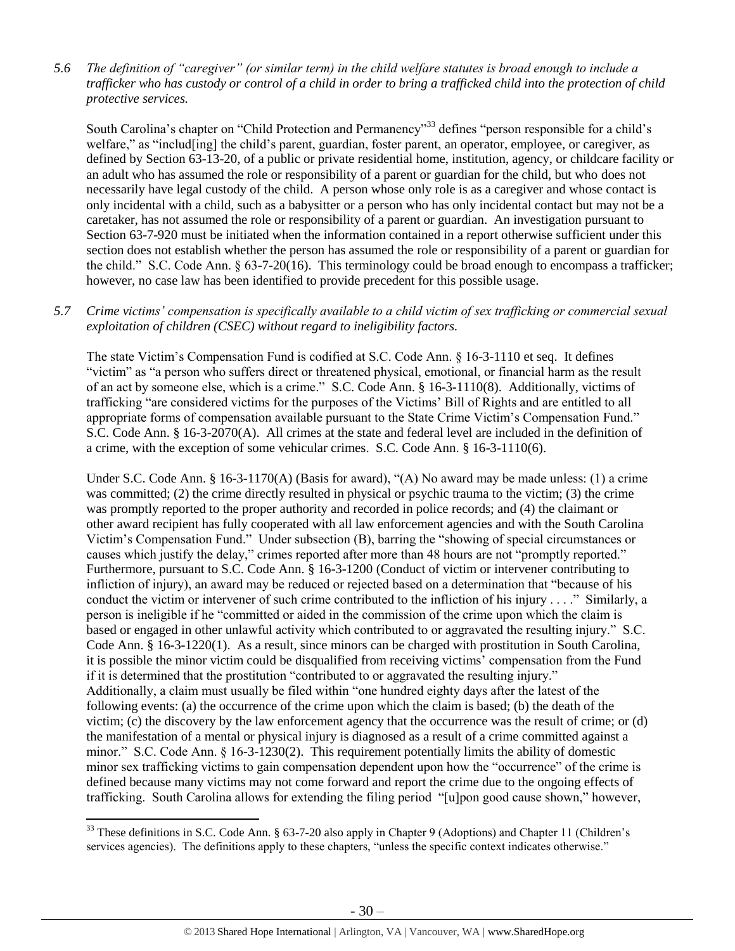*5.6 The definition of "caregiver" (or similar term) in the child welfare statutes is broad enough to include a trafficker who has custody or control of a child in order to bring a trafficked child into the protection of child protective services.*

South Carolina's chapter on "Child Protection and Permanency"<sup>33</sup> defines "person responsible for a child's welfare," as "includ[ing] the child's parent, guardian, foster parent, an operator, employee, or caregiver, as defined by Section 63-13-20, of a public or private residential home, institution, agency, or childcare facility or an adult who has assumed the role or responsibility of a parent or guardian for the child, but who does not necessarily have legal custody of the child. A person whose only role is as a caregiver and whose contact is only incidental with a child, such as a babysitter or a person who has only incidental contact but may not be a caretaker, has not assumed the role or responsibility of a parent or guardian. An investigation pursuant to Section 63-7-920 must be initiated when the information contained in a report otherwise sufficient under this section does not establish whether the person has assumed the role or responsibility of a parent or guardian for the child." S.C. Code Ann. § 63-7-20(16). This terminology could be broad enough to encompass a trafficker; however, no case law has been identified to provide precedent for this possible usage.

#### *5.7 Crime victims' compensation is specifically available to a child victim of sex trafficking or commercial sexual exploitation of children (CSEC) without regard to ineligibility factors.*

The state Victim's Compensation Fund is codified at S.C. Code Ann. § 16-3-1110 et seq. It defines "victim" as "a person who suffers direct or threatened physical, emotional, or financial harm as the result of an act by someone else, which is a crime." S.C. Code Ann. § 16-3-1110(8). Additionally, victims of trafficking "are considered victims for the purposes of the Victims' Bill of Rights and are entitled to all appropriate forms of compensation available pursuant to the State Crime Victim's Compensation Fund." S.C. Code Ann. § 16-3-2070(A). All crimes at the state and federal level are included in the definition of a crime, with the exception of some vehicular crimes. S.C. Code Ann. § 16-3-1110(6).

Under S.C. Code Ann. § 16-3-1170(A) (Basis for award), "(A) No award may be made unless: (1) a crime was committed; (2) the crime directly resulted in physical or psychic trauma to the victim; (3) the crime was promptly reported to the proper authority and recorded in police records; and (4) the claimant or other award recipient has fully cooperated with all law enforcement agencies and with the South Carolina Victim's Compensation Fund." Under subsection (B), barring the "showing of special circumstances or causes which justify the delay," crimes reported after more than 48 hours are not "promptly reported." Furthermore, pursuant to S.C. Code Ann. § 16-3-1200 (Conduct of victim or intervener contributing to infliction of injury), an award may be reduced or rejected based on a determination that "because of his conduct the victim or intervener of such crime contributed to the infliction of his injury . . . ." Similarly, a person is ineligible if he "committed or aided in the commission of the crime upon which the claim is based or engaged in other unlawful activity which contributed to or aggravated the resulting injury." S.C. Code Ann. § 16-3-1220(1). As a result, since minors can be charged with prostitution in South Carolina, it is possible the minor victim could be disqualified from receiving victims' compensation from the Fund if it is determined that the prostitution "contributed to or aggravated the resulting injury." Additionally, a claim must usually be filed within "one hundred eighty days after the latest of the following events: (a) the occurrence of the crime upon which the claim is based; (b) the death of the victim; (c) the discovery by the law enforcement agency that the occurrence was the result of crime; or (d) the manifestation of a mental or physical injury is diagnosed as a result of a crime committed against a minor." S.C. Code Ann. § 16-3-1230(2). This requirement potentially limits the ability of domestic minor sex trafficking victims to gain compensation dependent upon how the "occurrence" of the crime is defined because many victims may not come forward and report the crime due to the ongoing effects of trafficking. South Carolina allows for extending the filing period "[u]pon good cause shown," however,

 $\overline{\phantom{a}}$ 

<sup>&</sup>lt;sup>33</sup> These definitions in S.C. Code Ann. § 63-7-20 also apply in Chapter 9 (Adoptions) and Chapter 11 (Children's services agencies). The definitions apply to these chapters, "unless the specific context indicates otherwise."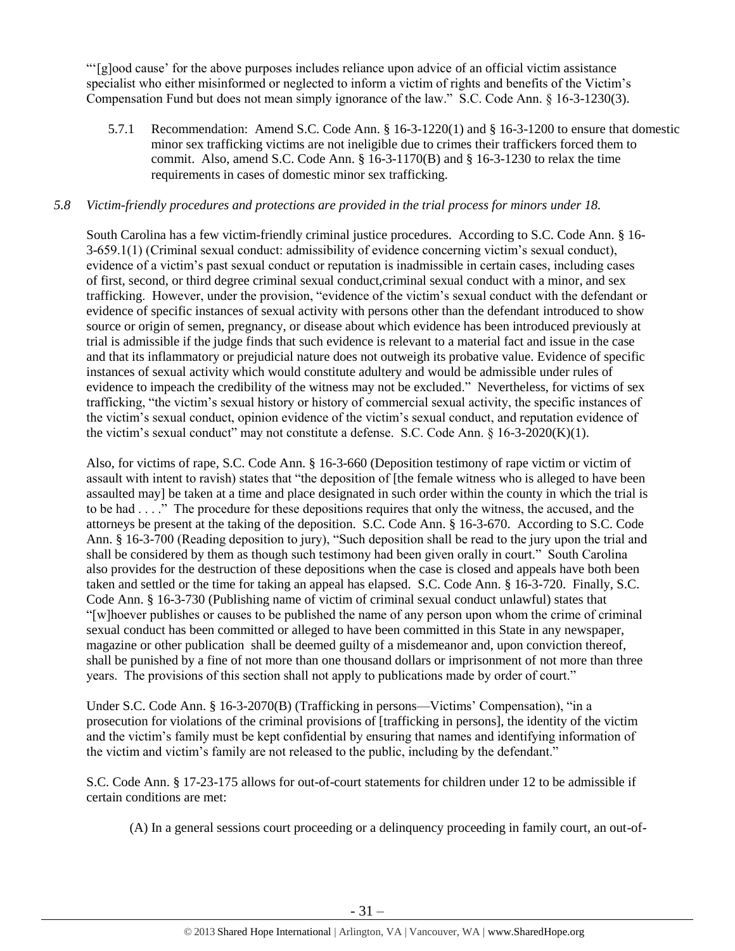"'[g]ood cause' for the above purposes includes reliance upon advice of an official victim assistance specialist who either misinformed or neglected to inform a victim of rights and benefits of the Victim's Compensation Fund but does not mean simply ignorance of the law." S.C. Code Ann. § 16-3-1230(3).

5.7.1 Recommendation: Amend S.C. Code Ann. § 16-3-1220(1) and § 16-3-1200 to ensure that domestic minor sex trafficking victims are not ineligible due to crimes their traffickers forced them to commit. Also, amend S.C. Code Ann.  $\S$  16-3-1170(B) and  $\S$  16-3-1230 to relax the time requirements in cases of domestic minor sex trafficking.

#### *5.8 Victim-friendly procedures and protections are provided in the trial process for minors under 18.*

South Carolina has a few victim-friendly criminal justice procedures. According to S.C. Code Ann. § 16- 3-659.1(1) (Criminal sexual conduct: admissibility of evidence concerning victim's sexual conduct), evidence of a victim's past sexual conduct or reputation is inadmissible in certain cases, including cases of first, second, or third degree criminal sexual conduct,criminal sexual conduct with a minor, and sex trafficking. However, under the provision, "evidence of the victim's sexual conduct with the defendant or evidence of specific instances of sexual activity with persons other than the defendant introduced to show source or origin of semen, pregnancy, or disease about which evidence has been introduced previously at trial is admissible if the judge finds that such evidence is relevant to a material fact and issue in the case and that its inflammatory or prejudicial nature does not outweigh its probative value. Evidence of specific instances of sexual activity which would constitute adultery and would be admissible under rules of evidence to impeach the credibility of the witness may not be excluded." Nevertheless, for victims of sex trafficking, "the victim's sexual history or history of commercial sexual activity, the specific instances of the victim's sexual conduct, opinion evidence of the victim's sexual conduct, and reputation evidence of the victim's sexual conduct" may not constitute a defense. S.C. Code Ann. § 16-3-2020(K)(1).

Also, for victims of rape, S.C. Code Ann. § 16-3-660 (Deposition testimony of rape victim or victim of assault with intent to ravish) states that "the deposition of [the female witness who is alleged to have been assaulted may] be taken at a time and place designated in such order within the county in which the trial is to be had . . . ." The procedure for these depositions requires that only the witness, the accused, and the attorneys be present at the taking of the deposition. S.C. Code Ann. § 16-3-670. According to S.C. Code Ann. § 16-3-700 (Reading deposition to jury), "Such deposition shall be read to the jury upon the trial and shall be considered by them as though such testimony had been given orally in court." South Carolina also provides for the destruction of these depositions when the case is closed and appeals have both been taken and settled or the time for taking an appeal has elapsed. S.C. Code Ann. § 16-3-720. Finally, S.C. Code Ann. § 16-3-730 (Publishing name of victim of criminal sexual conduct unlawful) states that "[w]hoever publishes or causes to be published the name of any person upon whom the crime of criminal sexual conduct has been committed or alleged to have been committed in this State in any newspaper, magazine or other publication shall be deemed guilty of a misdemeanor and, upon conviction thereof, shall be punished by a fine of not more than one thousand dollars or imprisonment of not more than three years. The provisions of this section shall not apply to publications made by order of court."

Under S.C. Code Ann. § 16-3-2070(B) (Trafficking in persons—Victims' Compensation), "in a prosecution for violations of the criminal provisions of [trafficking in persons], the identity of the victim and the victim's family must be kept confidential by ensuring that names and identifying information of the victim and victim's family are not released to the public, including by the defendant."

S.C. Code Ann. § 17-23-175 allows for out-of-court statements for children under 12 to be admissible if certain conditions are met:

(A) In a general sessions court proceeding or a delinquency proceeding in family court, an out-of-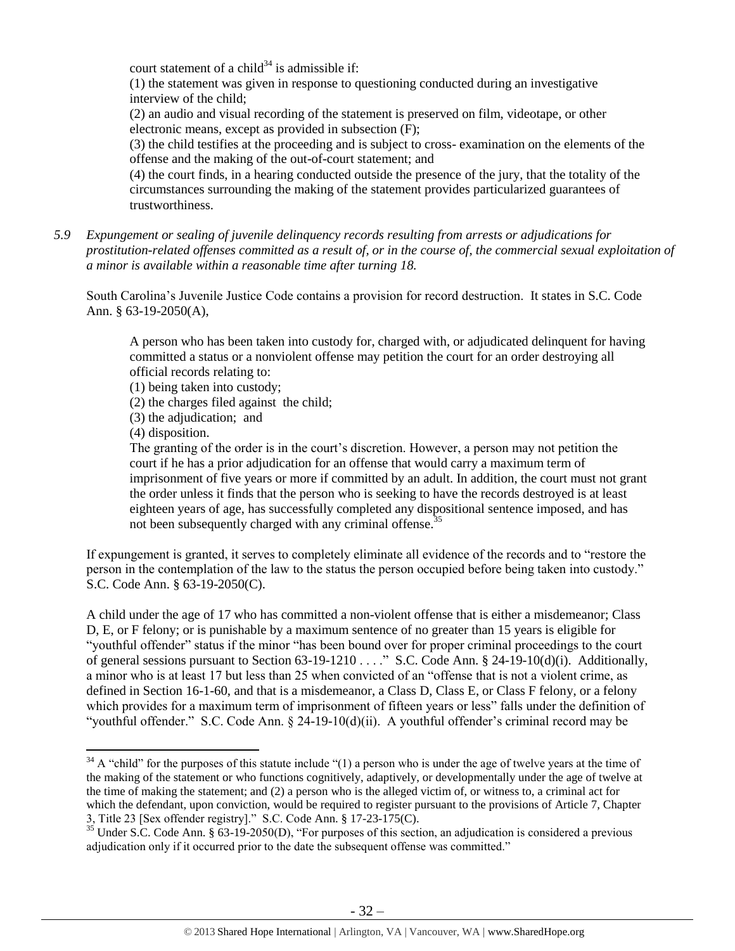court statement of a child<sup>34</sup> is admissible if:

(1) the statement was given in response to questioning conducted during an investigative interview of the child;

(2) an audio and visual recording of the statement is preserved on film, videotape, or other electronic means, except as provided in subsection (F);

(3) the child testifies at the proceeding and is subject to cross- examination on the elements of the offense and the making of the out-of-court statement; and

(4) the court finds, in a hearing conducted outside the presence of the jury, that the totality of the circumstances surrounding the making of the statement provides particularized guarantees of trustworthiness.

*5.9 Expungement or sealing of juvenile delinquency records resulting from arrests or adjudications for prostitution-related offenses committed as a result of, or in the course of, the commercial sexual exploitation of a minor is available within a reasonable time after turning 18.*

South Carolina's Juvenile Justice Code contains a provision for record destruction. It states in S.C. Code Ann. § 63-19-2050(A),

A person who has been taken into custody for, charged with, or adjudicated delinquent for having committed a status or a nonviolent offense may petition the court for an order destroying all official records relating to:

(1) being taken into custody;

(2) the charges filed against the child;

(3) the adjudication; and

(4) disposition.

 $\overline{\phantom{a}}$ 

The granting of the order is in the court's discretion. However, a person may not petition the court if he has a prior adjudication for an offense that would carry a maximum term of imprisonment of five years or more if committed by an adult. In addition, the court must not grant the order unless it finds that the person who is seeking to have the records destroyed is at least eighteen years of age, has successfully completed any dispositional sentence imposed, and has not been subsequently charged with any criminal offense.<sup>35</sup>

If expungement is granted, it serves to completely eliminate all evidence of the records and to "restore the person in the contemplation of the law to the status the person occupied before being taken into custody." S.C. Code Ann. § 63-19-2050(C).

A child under the age of 17 who has committed a non-violent offense that is either a misdemeanor; Class D, E, or F felony; or is punishable by a maximum sentence of no greater than 15 years is eligible for "youthful offender" status if the minor "has been bound over for proper criminal proceedings to the court of general sessions pursuant to Section 63-19-1210 . . . ." S.C. Code Ann. § 24-19-10(d)(i). Additionally, a minor who is at least 17 but less than 25 when convicted of an "offense that is not a violent crime, as defined in Section 16-1-60, and that is a misdemeanor, a Class D, Class E, or Class F felony, or a felony which provides for a maximum term of imprisonment of fifteen years or less" falls under the definition of "youthful offender." S.C. Code Ann. § 24-19-10(d)(ii). A youthful offender's criminal record may be

 $34$  A "child" for the purposes of this statute include "(1) a person who is under the age of twelve years at the time of the making of the statement or who functions cognitively, adaptively, or developmentally under the age of twelve at the time of making the statement; and (2) a person who is the alleged victim of, or witness to, a criminal act for which the defendant, upon conviction, would be required to register pursuant to the provisions of Article 7, Chapter 3, Title 23 [Sex offender registry]." S.C. Code Ann. § 17-23-175(C).

 $35$  Under S.C. Code Ann. § 63-19-2050(D), "For purposes of this section, an adjudication is considered a previous adjudication only if it occurred prior to the date the subsequent offense was committed."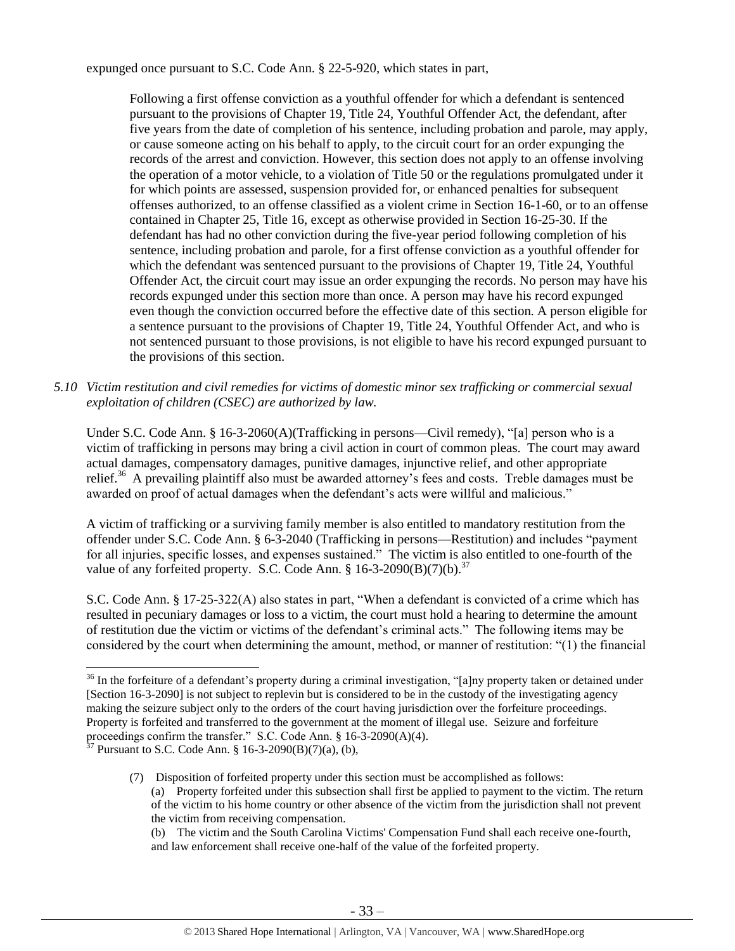expunged once pursuant to S.C. Code Ann. § 22-5-920, which states in part,

Following a first offense conviction as a youthful offender for which a defendant is sentenced pursuant to the provisions of Chapter 19, Title 24, Youthful Offender Act, the defendant, after five years from the date of completion of his sentence, including probation and parole, may apply, or cause someone acting on his behalf to apply, to the circuit court for an order expunging the records of the arrest and conviction. However, this section does not apply to an offense involving the operation of a motor vehicle, to a violation of Title 50 or the regulations promulgated under it for which points are assessed, suspension provided for, or enhanced penalties for subsequent offenses authorized, to an offense classified as a violent crime in Section 16-1-60, or to an offense contained in Chapter 25, Title 16, except as otherwise provided in Section 16-25-30. If the defendant has had no other conviction during the five-year period following completion of his sentence, including probation and parole, for a first offense conviction as a youthful offender for which the defendant was sentenced pursuant to the provisions of Chapter 19, Title 24, Youthful Offender Act, the circuit court may issue an order expunging the records. No person may have his records expunged under this section more than once. A person may have his record expunged even though the conviction occurred before the effective date of this section. A person eligible for a sentence pursuant to the provisions of Chapter 19, Title 24, Youthful Offender Act, and who is not sentenced pursuant to those provisions, is not eligible to have his record expunged pursuant to the provisions of this section.

*5.10 Victim restitution and civil remedies for victims of domestic minor sex trafficking or commercial sexual exploitation of children (CSEC) are authorized by law.* 

Under S.C. Code Ann. § 16-3-2060(A)(Trafficking in persons—Civil remedy), "[a] person who is a victim of trafficking in persons may bring a civil action in court of common pleas. The court may award actual damages, compensatory damages, punitive damages, injunctive relief, and other appropriate relief.<sup>36</sup> A prevailing plaintiff also must be awarded attorney's fees and costs. Treble damages must be awarded on proof of actual damages when the defendant's acts were willful and malicious."

A victim of trafficking or a surviving family member is also entitled to mandatory restitution from the offender under S.C. Code Ann. § 6-3-2040 (Trafficking in persons—Restitution) and includes "payment for all injuries, specific losses, and expenses sustained." The victim is also entitled to one-fourth of the value of any forfeited property. S.C. Code Ann. §  $16-3-2090(B)(7)(b)$ .<sup>37</sup>

S.C. Code Ann. § 17-25-322(A) also states in part, "When a defendant is convicted of a crime which has resulted in pecuniary damages or loss to a victim, the court must hold a hearing to determine the amount of restitution due the victim or victims of the defendant's criminal acts." The following items may be considered by the court when determining the amount, method, or manner of restitution: "(1) the financial

 $\overline{\phantom{a}}$  $36$  In the forfeiture of a defendant's property during a criminal investigation, "[a]ny property taken or detained under [Section 16-3-2090] is not subject to replevin but is considered to be in the custody of the investigating agency making the seizure subject only to the orders of the court having jurisdiction over the forfeiture proceedings. Property is forfeited and transferred to the government at the moment of illegal use. Seizure and forfeiture proceedings confirm the transfer." S.C. Code Ann. § 16-3-2090(A)(4).

 $37$  Pursuant to S.C. Code Ann. § 16-3-2090(B)(7)(a), (b),

<sup>(7)</sup> Disposition of forfeited property under this section must be accomplished as follows: (a) Property forfeited under this subsection shall first be applied to payment to the victim. The return of the victim to his home country or other absence of the victim from the jurisdiction shall not prevent the victim from receiving compensation.

<sup>(</sup>b) The victim and the South Carolina Victims' Compensation Fund shall each receive one-fourth, and law enforcement shall receive one-half of the value of the forfeited property.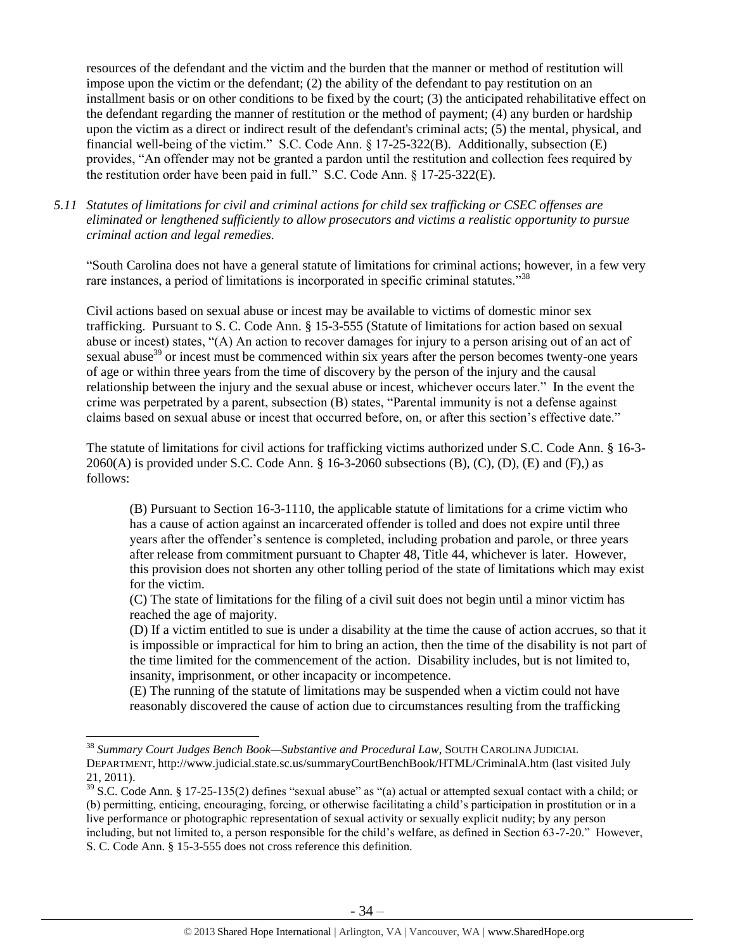resources of the defendant and the victim and the burden that the manner or method of restitution will impose upon the victim or the defendant; (2) the ability of the defendant to pay restitution on an installment basis or on other conditions to be fixed by the court; (3) the anticipated rehabilitative effect on the defendant regarding the manner of restitution or the method of payment; (4) any burden or hardship upon the victim as a direct or indirect result of the defendant's criminal acts; (5) the mental, physical, and financial well-being of the victim." S.C. Code Ann. § 17-25-322(B). Additionally, subsection (E) provides, "An offender may not be granted a pardon until the restitution and collection fees required by the restitution order have been paid in full." S.C. Code Ann. § 17-25-322(E).

*5.11 Statutes of limitations for civil and criminal actions for child sex trafficking or CSEC offenses are eliminated or lengthened sufficiently to allow prosecutors and victims a realistic opportunity to pursue criminal action and legal remedies.* 

"South Carolina does not have a general statute of limitations for criminal actions; however, in a few very rare instances, a period of limitations is incorporated in specific criminal statutes."<sup>38</sup>

Civil actions based on sexual abuse or incest may be available to victims of domestic minor sex trafficking. Pursuant to S. C. Code Ann. § 15-3-555 (Statute of limitations for action based on sexual abuse or incest) states, "(A) An action to recover damages for injury to a person arising out of an act of sexual abuse<sup>39</sup> or incest must be commenced within six years after the person becomes twenty-one years of age or within three years from the time of discovery by the person of the injury and the causal relationship between the injury and the sexual abuse or incest, whichever occurs later." In the event the crime was perpetrated by a parent, subsection (B) states, "Parental immunity is not a defense against claims based on sexual abuse or incest that occurred before, on, or after this section's effective date."

The statute of limitations for civil actions for trafficking victims authorized under S.C. Code Ann. § 16-3-  $2060(A)$  is provided under S.C. Code Ann. § 16-3-2060 subsections  $(B)$ ,  $(C)$ ,  $(D)$ ,  $(E)$  and  $(F)$ ,) as follows:

(B) Pursuant to Section 16-3-1110, the applicable statute of limitations for a crime victim who has a cause of action against an incarcerated offender is tolled and does not expire until three years after the offender's sentence is completed, including probation and parole, or three years after release from commitment pursuant to Chapter 48, Title 44, whichever is later. However, this provision does not shorten any other tolling period of the state of limitations which may exist for the victim.

(C) The state of limitations for the filing of a civil suit does not begin until a minor victim has reached the age of majority.

(D) If a victim entitled to sue is under a disability at the time the cause of action accrues, so that it is impossible or impractical for him to bring an action, then the time of the disability is not part of the time limited for the commencement of the action. Disability includes, but is not limited to, insanity, imprisonment, or other incapacity or incompetence.

(E) The running of the statute of limitations may be suspended when a victim could not have reasonably discovered the cause of action due to circumstances resulting from the trafficking

 $\overline{\phantom{a}}$ 

<sup>38</sup> *Summary Court Judges Bench Book—Substantive and Procedural Law*, SOUTH CAROLINA JUDICIAL DEPARTMENT, http://www.judicial.state.sc.us/summaryCourtBenchBook/HTML/CriminalA.htm (last visited July 21, 2011).

 $39$  S.C. Code Ann. § 17-25-135(2) defines "sexual abuse" as "(a) actual or attempted sexual contact with a child; or (b) permitting, enticing, encouraging, forcing, or otherwise facilitating a child's participation in prostitution or in a live performance or photographic representation of sexual activity or sexually explicit nudity; by any person including, but not limited to, a person responsible for the child's welfare, as defined in Section 63-7-20." However, S. C. Code Ann. § 15-3-555 does not cross reference this definition.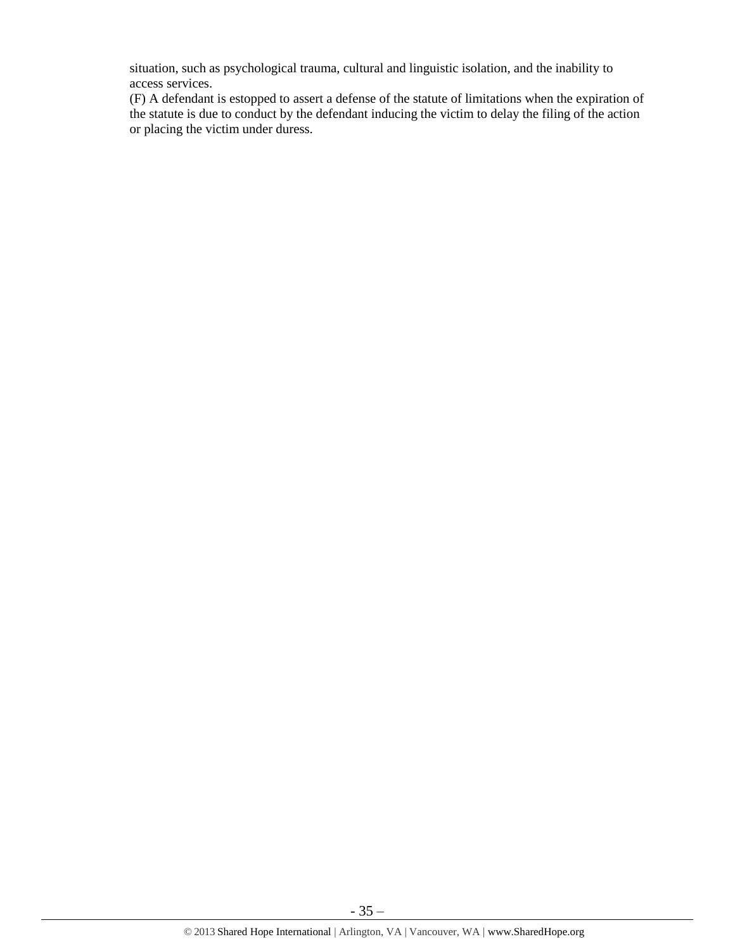situation, such as psychological trauma, cultural and linguistic isolation, and the inability to access services.

(F) A defendant is estopped to assert a defense of the statute of limitations when the expiration of the statute is due to conduct by the defendant inducing the victim to delay the filing of the action or placing the victim under duress.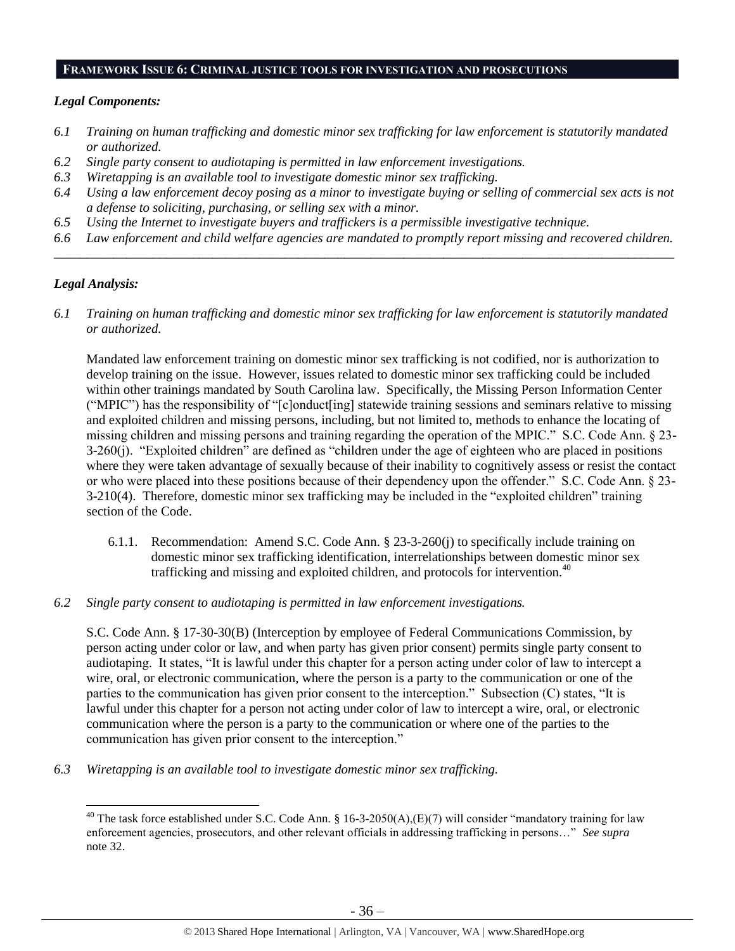#### **FRAMEWORK ISSUE 6: CRIMINAL JUSTICE TOOLS FOR INVESTIGATION AND PROSECUTIONS**

#### *Legal Components:*

- *6.1 Training on human trafficking and domestic minor sex trafficking for law enforcement is statutorily mandated or authorized.*
- *6.2 Single party consent to audiotaping is permitted in law enforcement investigations.*
- *6.3 Wiretapping is an available tool to investigate domestic minor sex trafficking.*
- *6.4 Using a law enforcement decoy posing as a minor to investigate buying or selling of commercial sex acts is not a defense to soliciting, purchasing, or selling sex with a minor.*
- *6.5 Using the Internet to investigate buyers and traffickers is a permissible investigative technique.*
- *6.6 Law enforcement and child welfare agencies are mandated to promptly report missing and recovered children. \_\_\_\_\_\_\_\_\_\_\_\_\_\_\_\_\_\_\_\_\_\_\_\_\_\_\_\_\_\_\_\_\_\_\_\_\_\_\_\_\_\_\_\_\_\_\_\_\_\_\_\_\_\_\_\_\_\_\_\_\_\_\_\_\_\_\_\_\_\_\_\_\_\_\_\_\_\_\_\_\_\_\_\_\_\_\_\_\_\_\_\_\_\_*

#### *Legal Analysis:*

 $\overline{a}$ 

*6.1 Training on human trafficking and domestic minor sex trafficking for law enforcement is statutorily mandated or authorized.*

Mandated law enforcement training on domestic minor sex trafficking is not codified, nor is authorization to develop training on the issue. However, issues related to domestic minor sex trafficking could be included within other trainings mandated by South Carolina law. Specifically, the Missing Person Information Center ("MPIC") has the responsibility of "[c]onduct[ing] statewide training sessions and seminars relative to missing and exploited children and missing persons, including, but not limited to, methods to enhance the locating of missing children and missing persons and training regarding the operation of the MPIC." S.C. Code Ann. § 23- 3-260(j). "Exploited children" are defined as "children under the age of eighteen who are placed in positions where they were taken advantage of sexually because of their inability to cognitively assess or resist the contact or who were placed into these positions because of their dependency upon the offender." S.C. Code Ann. § 23- 3-210(4). Therefore, domestic minor sex trafficking may be included in the "exploited children" training section of the Code.

- 6.1.1. Recommendation: Amend S.C. Code Ann. § 23-3-260(j) to specifically include training on domestic minor sex trafficking identification, interrelationships between domestic minor sex trafficking and missing and exploited children, and protocols for intervention.<sup>40</sup>
- *6.2 Single party consent to audiotaping is permitted in law enforcement investigations.*

S.C. Code Ann. § 17-30-30(B) (Interception by employee of Federal Communications Commission, by person acting under color or law, and when party has given prior consent) permits single party consent to audiotaping. It states, "It is lawful under this chapter for a person acting under color of law to intercept a wire, oral, or electronic communication, where the person is a party to the communication or one of the parties to the communication has given prior consent to the interception." Subsection (C) states, "It is lawful under this chapter for a person not acting under color of law to intercept a wire, oral, or electronic communication where the person is a party to the communication or where one of the parties to the communication has given prior consent to the interception."

*6.3 Wiretapping is an available tool to investigate domestic minor sex trafficking.* 

<sup>&</sup>lt;sup>40</sup> The task force established under S.C. Code Ann. § 16-3-2050(A),(E)(7) will consider "mandatory training for law enforcement agencies, prosecutors, and other relevant officials in addressing trafficking in persons…" *See supra* note [32.](#page-28-0)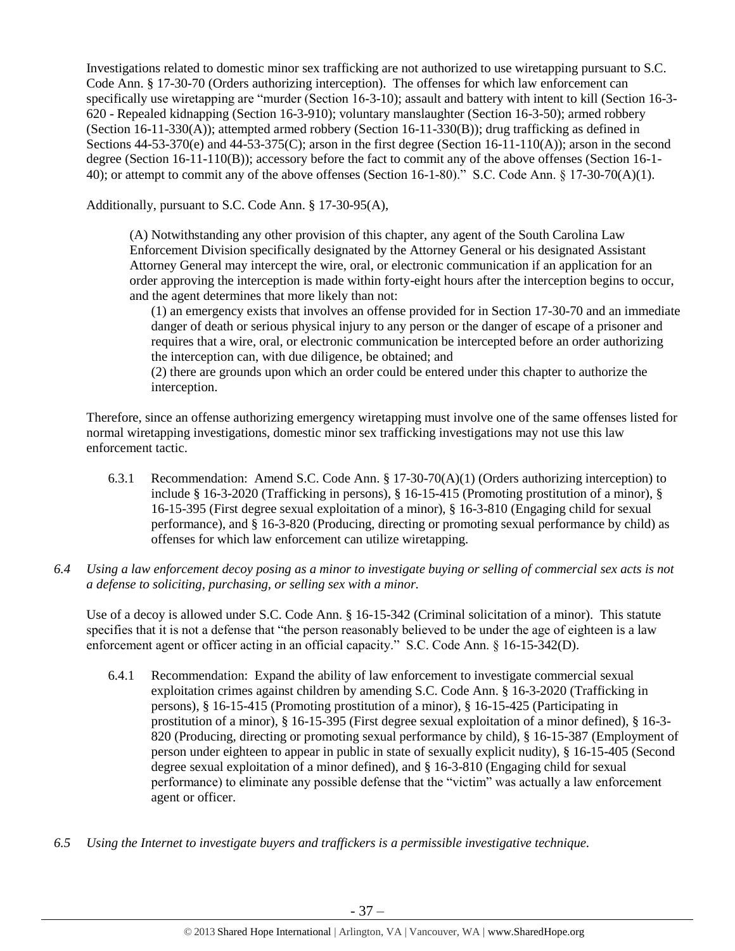Investigations related to domestic minor sex trafficking are not authorized to use wiretapping pursuant to S.C. Code Ann. § 17-30-70 (Orders authorizing interception). The offenses for which law enforcement can specifically use wiretapping are "murder (Section 16-3-10); assault and battery with intent to kill (Section 16-3- 620 - Repealed kidnapping (Section 16-3-910); voluntary manslaughter (Section 16-3-50); armed robbery (Section 16-11-330(A)); attempted armed robbery (Section 16-11-330(B)); drug trafficking as defined in Sections  $44-53-370(e)$  and  $44-53-375(C)$ ; arson in the first degree (Section 16-11-110(A)); arson in the second degree (Section 16-11-110(B)); accessory before the fact to commit any of the above offenses (Section 16-1- 40); or attempt to commit any of the above offenses (Section 16-1-80)." S.C. Code Ann. § 17-30-70(A)(1).

Additionally, pursuant to S.C. Code Ann. § 17-30-95(A),

(A) Notwithstanding any other provision of this chapter, any agent of the South Carolina Law Enforcement Division specifically designated by the Attorney General or his designated Assistant Attorney General may intercept the wire, oral, or electronic communication if an application for an order approving the interception is made within forty-eight hours after the interception begins to occur, and the agent determines that more likely than not:

(1) an emergency exists that involves an offense provided for in Section 17-30-70 and an immediate danger of death or serious physical injury to any person or the danger of escape of a prisoner and requires that a wire, oral, or electronic communication be intercepted before an order authorizing the interception can, with due diligence, be obtained; and

(2) there are grounds upon which an order could be entered under this chapter to authorize the interception.

Therefore, since an offense authorizing emergency wiretapping must involve one of the same offenses listed for normal wiretapping investigations, domestic minor sex trafficking investigations may not use this law enforcement tactic.

- 6.3.1 Recommendation: Amend S.C. Code Ann. § 17-30-70(A)(1) (Orders authorizing interception) to include § 16-3-2020 (Trafficking in persons), § 16-15-415 (Promoting prostitution of a minor), § 16-15-395 (First degree sexual exploitation of a minor), § 16-3-810 (Engaging child for sexual performance), and § 16-3-820 (Producing, directing or promoting sexual performance by child) as offenses for which law enforcement can utilize wiretapping.
- *6.4 Using a law enforcement decoy posing as a minor to investigate buying or selling of commercial sex acts is not a defense to soliciting, purchasing, or selling sex with a minor.*

Use of a decoy is allowed under S.C. Code Ann. § 16-15-342 (Criminal solicitation of a minor). This statute specifies that it is not a defense that "the person reasonably believed to be under the age of eighteen is a law enforcement agent or officer acting in an official capacity." S.C. Code Ann. § 16-15-342(D).

- 6.4.1 Recommendation: Expand the ability of law enforcement to investigate commercial sexual exploitation crimes against children by amending S.C. Code Ann. § 16-3-2020 (Trafficking in persons), § 16-15-415 (Promoting prostitution of a minor), § 16-15-425 (Participating in prostitution of a minor), § 16-15-395 (First degree sexual exploitation of a minor defined), § 16-3- 820 (Producing, directing or promoting sexual performance by child), § 16-15-387 (Employment of person under eighteen to appear in public in state of sexually explicit nudity), § 16-15-405 (Second degree sexual exploitation of a minor defined), and § 16-3-810 (Engaging child for sexual performance) to eliminate any possible defense that the "victim" was actually a law enforcement agent or officer.
- *6.5 Using the Internet to investigate buyers and traffickers is a permissible investigative technique.*